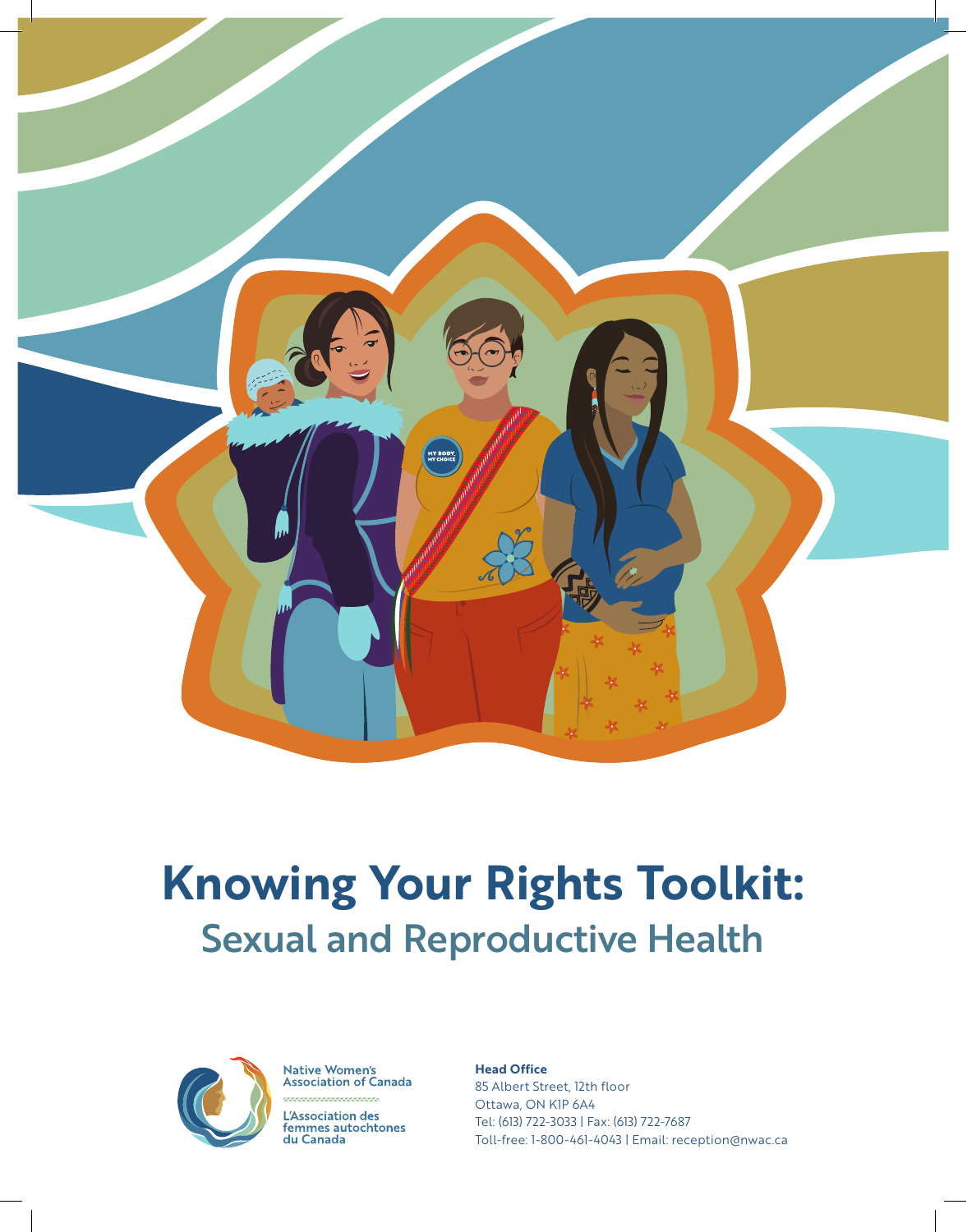

# **Knowing Your Rights Toolkit:**  Sexual and Reproductive Health



**Native Women's<br>Association of Canada** 

L'Association des Exposited in act<br>femmes autochtones<br>du Canada

#### **Head Office**

85 Albert Street, 12th floor Ottawa, ON K1P 6A4 Tel: (613) 722-3033 | Fax: (613) 722-7687 Toll-free: 1-800-461-4043 | Email: reception@nwac.ca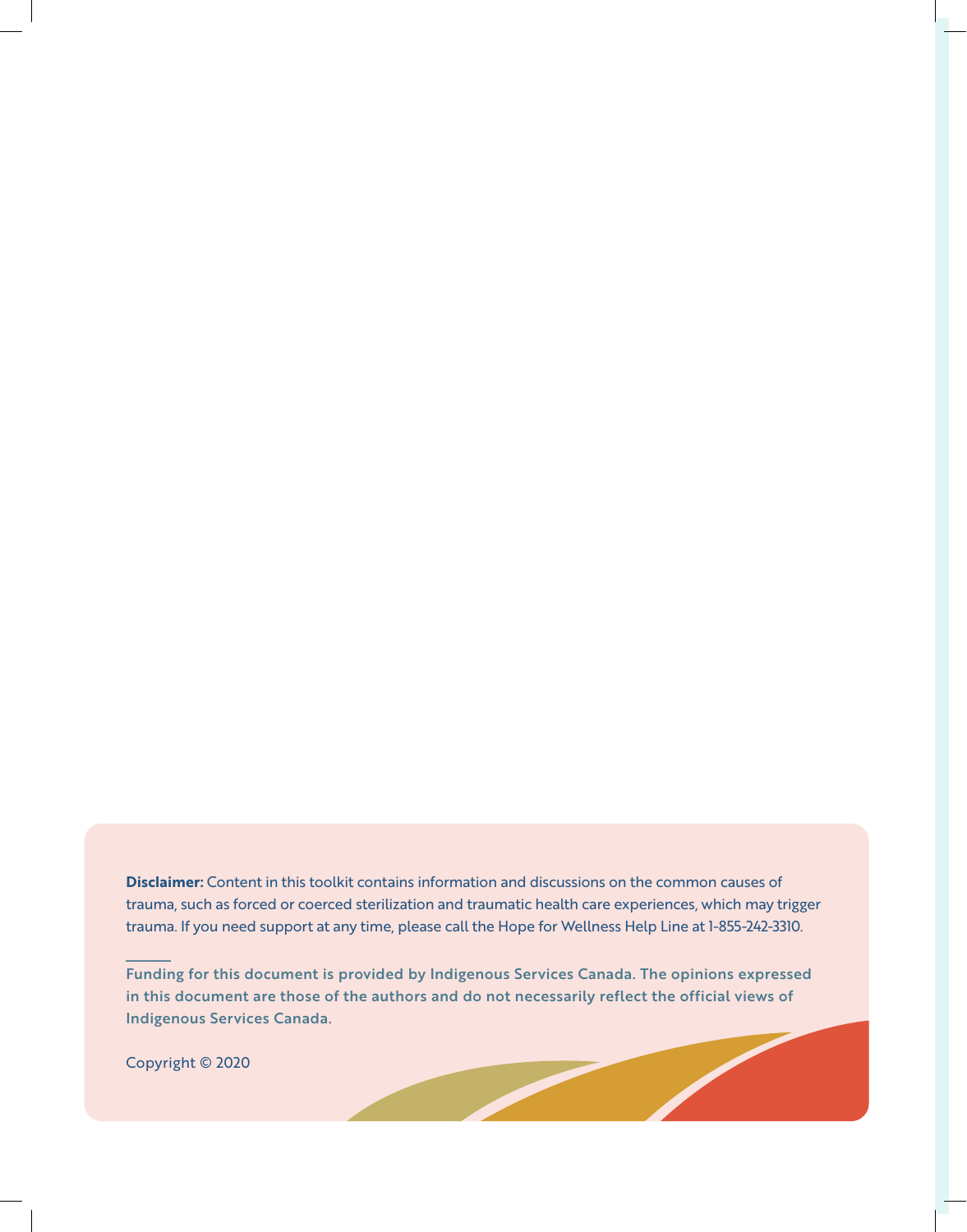**Disclaimer:** Content in this toolkit contains information and discussions on the common causes of trauma, such as forced or coerced sterilization and traumatic health care experiences, which may trigger trauma. If you need support at any time, please call the Hope for Wellness Help Line at 1-855-242-3310.

Funding for this document is provided by Indigenous Services Canada. The opinions expressed in this document are those of the authors and do not necessarily reflect the official views of Indigenous Services Canada.

Copyright © 2020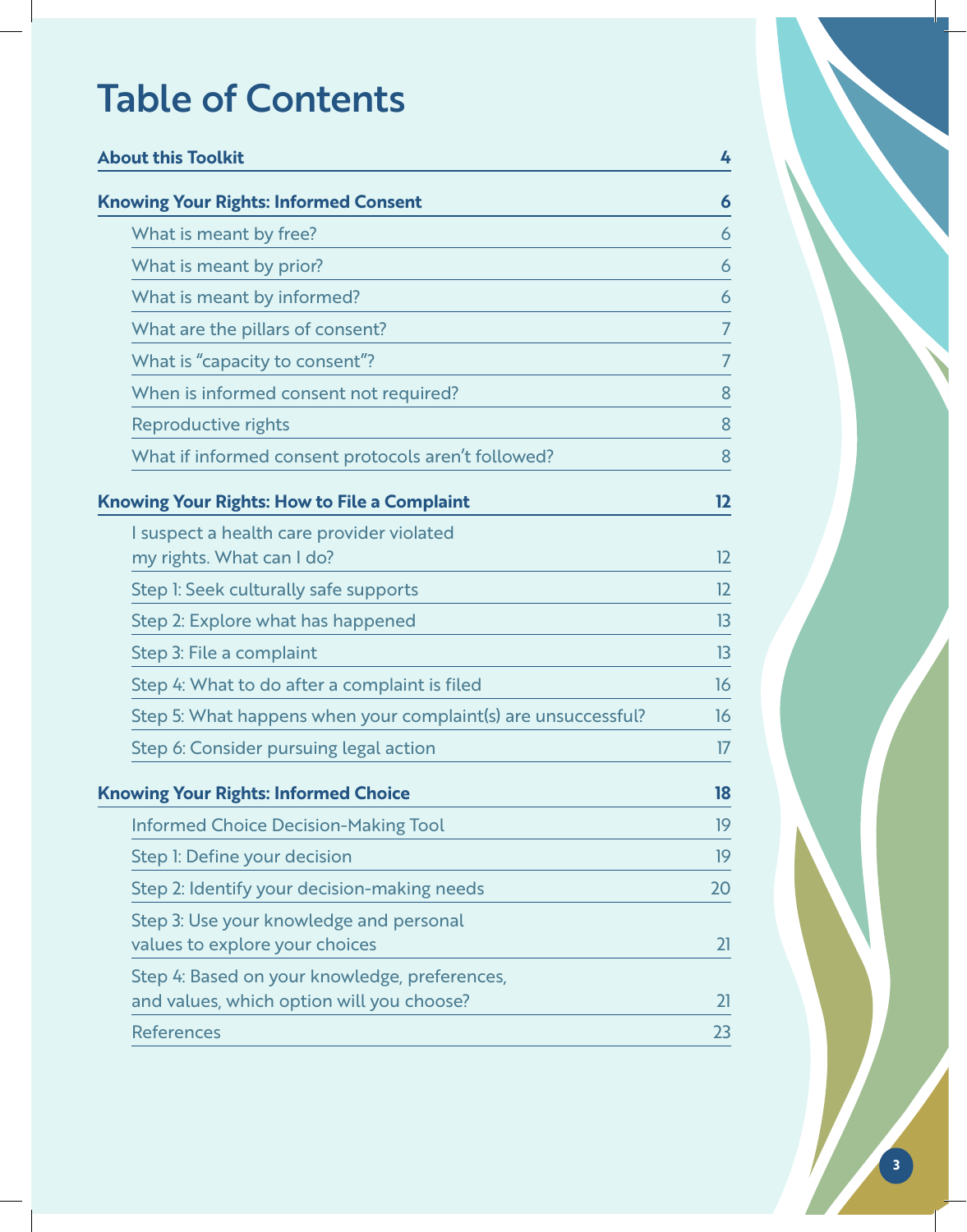# Table of Contents

| <b>About this Toolkit</b>                                                                  | 4              |
|--------------------------------------------------------------------------------------------|----------------|
| <b>Knowing Your Rights: Informed Consent</b>                                               | 6              |
| What is meant by free?                                                                     | 6              |
| What is meant by prior?                                                                    | 6              |
| What is meant by informed?                                                                 | 6              |
| What are the pillars of consent?                                                           | 7              |
| What is "capacity to consent"?                                                             | $\overline{7}$ |
| When is informed consent not required?                                                     | 8              |
| <b>Reproductive rights</b>                                                                 | 8              |
| What if informed consent protocols aren't followed?                                        | 8              |
| <b>Knowing Your Rights: How to File a Complaint</b>                                        | 12             |
| I suspect a health care provider violated<br>my rights. What can I do?                     | 12             |
| Step I: Seek culturally safe supports                                                      | 12             |
| Step 2: Explore what has happened                                                          | 13             |
| Step 3: File a complaint                                                                   | 13             |
| Step 4: What to do after a complaint is filed                                              | 16             |
| Step 5: What happens when your complaint(s) are unsuccessful?                              | 16             |
| Step 6: Consider pursuing legal action                                                     | 17             |
| <b>Knowing Your Rights: Informed Choice</b>                                                | 18             |
| <b>Informed Choice Decision-Making Tool</b>                                                | 19             |
| Step I: Define your decision                                                               | 19             |
| Step 2: Identify your decision-making needs                                                | 20             |
| Step 3: Use your knowledge and personal<br>values to explore your choices                  | 21             |
| Step 4: Based on your knowledge, preferences,<br>and values, which option will you choose? | 21             |
| <b>References</b>                                                                          | 23             |

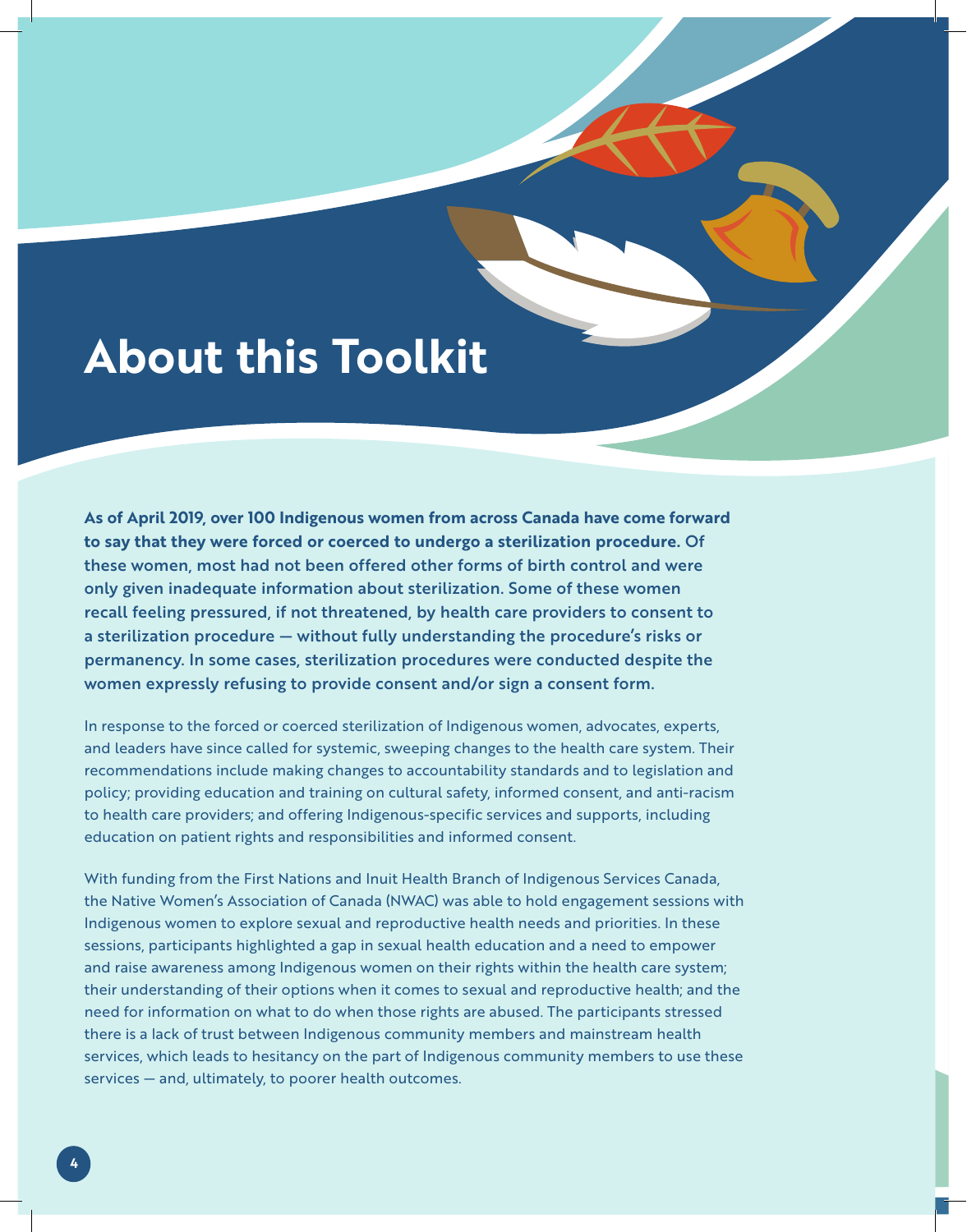# **About this Toolkit**

**As of April 2019, over 100 Indigenous women from across Canada have come forward to say that they were forced or coerced to undergo a sterilization procedure.** Of these women, most had not been offered other forms of birth control and were only given inadequate information about sterilization. Some of these women recall feeling pressured, if not threatened, by health care providers to consent to a sterilization procedure — without fully understanding the procedure's risks or permanency. In some cases, sterilization procedures were conducted despite the women expressly refusing to provide consent and/or sign a consent form.

In response to the forced or coerced sterilization of Indigenous women, advocates, experts, and leaders have since called for systemic, sweeping changes to the health care system. Their recommendations include making changes to accountability standards and to legislation and policy; providing education and training on cultural safety, informed consent, and anti-racism to health care providers; and offering Indigenous-specific services and supports, including education on patient rights and responsibilities and informed consent.

With funding from the First Nations and Inuit Health Branch of Indigenous Services Canada, the Native Women's Association of Canada (NWAC) was able to hold engagement sessions with Indigenous women to explore sexual and reproductive health needs and priorities. In these sessions, participants highlighted a gap in sexual health education and a need to empower and raise awareness among Indigenous women on their rights within the health care system; their understanding of their options when it comes to sexual and reproductive health; and the need for information on what to do when those rights are abused. The participants stressed there is a lack of trust between Indigenous community members and mainstream health services, which leads to hesitancy on the part of Indigenous community members to use these services — and, ultimately, to poorer health outcomes.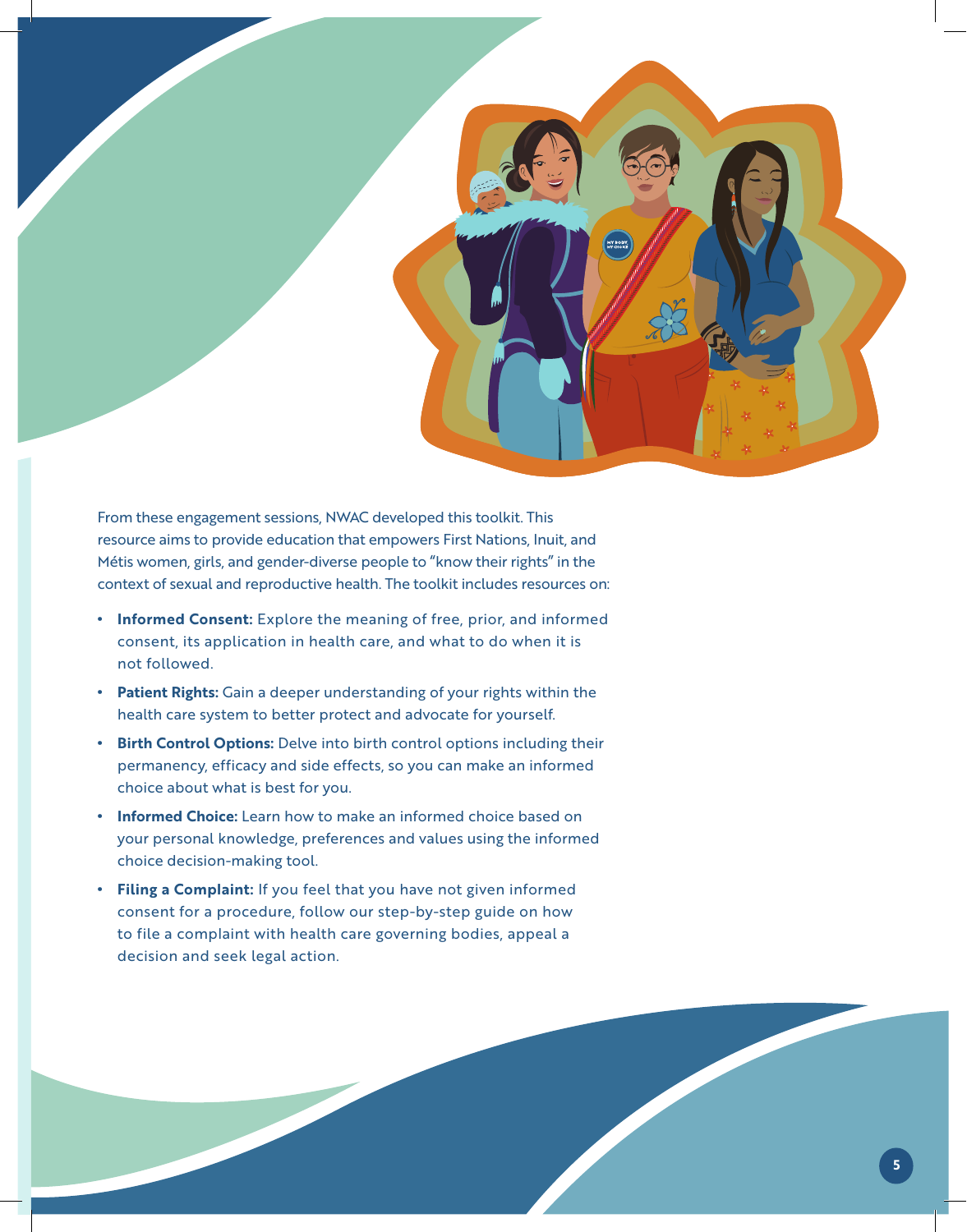

From these engagement sessions, NWAC developed this toolkit. This resource aims to provide education that empowers First Nations, Inuit, and Métis women, girls, and gender-diverse people to "know their rights" in the context of sexual and reproductive health. The toolkit includes resources on:

- **Informed Consent:** Explore the meaning of free, prior, and informed consent, its application in health care, and what to do when it is not followed.
- **Patient Rights:** Gain a deeper understanding of your rights within the health care system to better protect and advocate for yourself.
- **Birth Control Options:** Delve into birth control options including their permanency, efficacy and side effects, so you can make an informed choice about what is best for you.
- **Informed Choice:** Learn how to make an informed choice based on your personal knowledge, preferences and values using the informed choice decision-making tool.
- **Filing a Complaint:** If you feel that you have not given informed consent for a procedure, follow our step-by-step guide on how to file a complaint with health care governing bodies, appeal a decision and seek legal action.

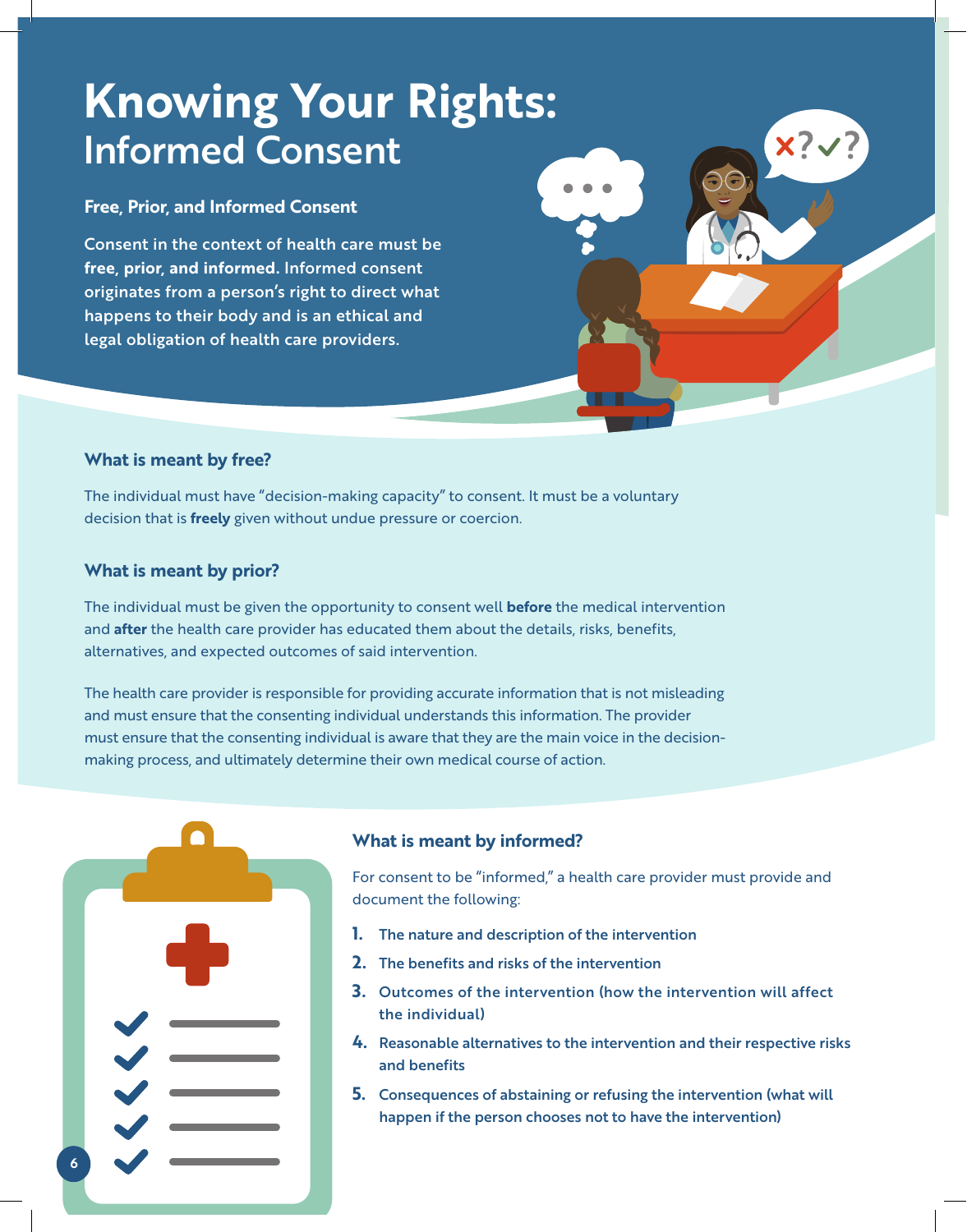# **Knowing Your Rights:**  Informed Consent

### **Free, Prior, and Informed Consent**

Consent in the context of health care must be **free, prior, and informed.** Informed consent originates from a person's right to direct what happens to their body and is an ethical and legal obligation of health care providers.

### **What is meant by free?**

The individual must have "decision-making capacity" to consent. It must be a voluntary decision that is **freely** given without undue pressure or coercion.

### **What is meant by prior?**

The individual must be given the opportunity to consent well **before** the medical intervention and **after** the health care provider has educated them about the details, risks, benefits, alternatives, and expected outcomes of said intervention.

The health care provider is responsible for providing accurate information that is not misleading and must ensure that the consenting individual understands this information. The provider must ensure that the consenting individual is aware that they are the main voice in the decisionmaking process, and ultimately determine their own medical course of action.



### **What is meant by informed?**

For consent to be "informed," a health care provider must provide and document the following:

- **1.** The nature and description of the intervention
- **2.** The benefits and risks of the intervention
- **3.** Outcomes of the intervention (how the intervention will affect the individual)
- **4.** Reasonable alternatives to the intervention and their respective risks and benefits
- **5.** Consequences of abstaining or refusing the intervention (what will happen if the person chooses not to have the intervention)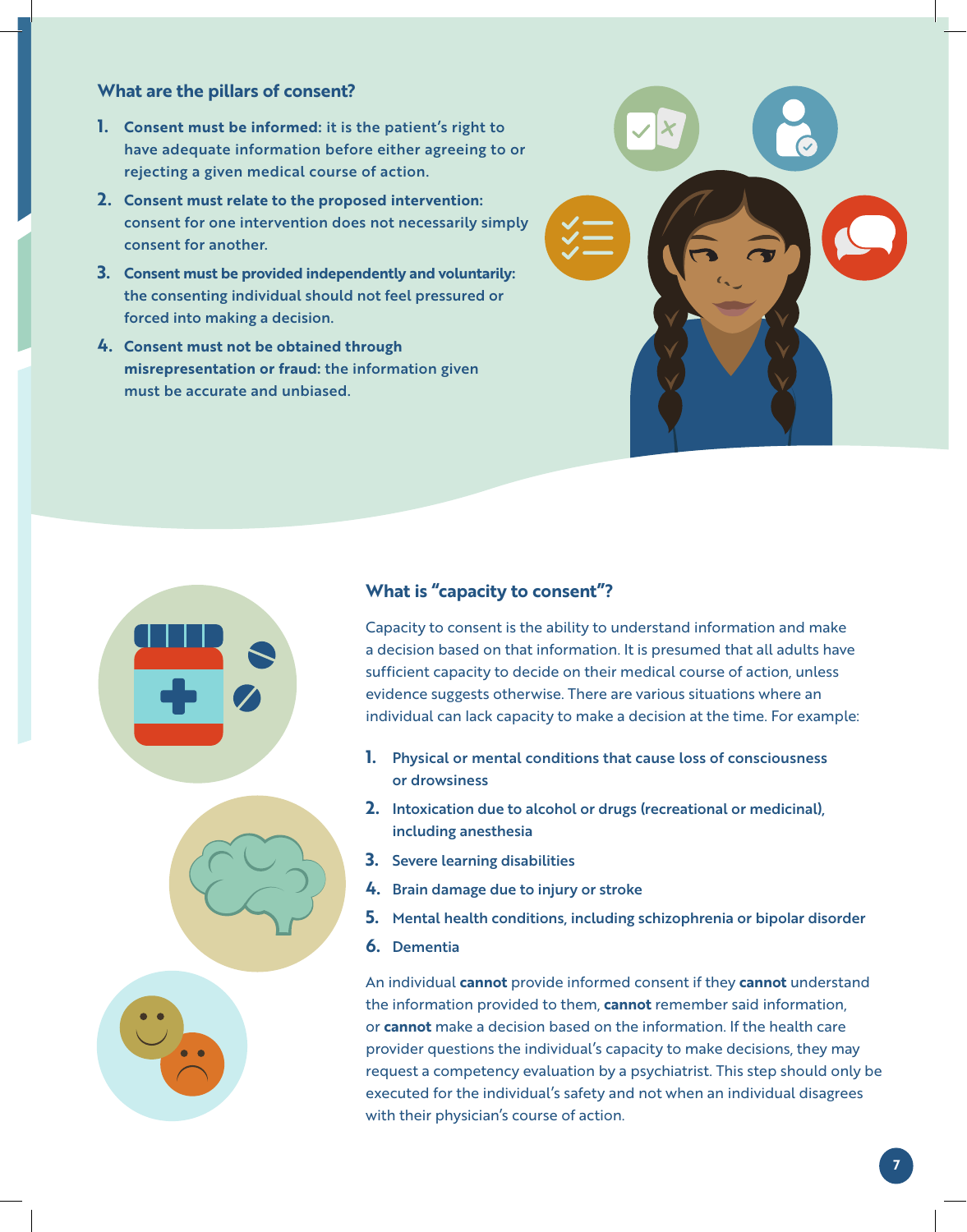### **What are the pillars of consent?**

- **1. Consent must be informed:** it is the patient's right to have adequate information before either agreeing to or rejecting a given medical course of action.
- **2. Consent must relate to the proposed intervention:** consent for one intervention does not necessarily simply consent for another.
- **3. Consent must be provided independently and voluntarily:**  the consenting individual should not feel pressured or forced into making a decision.
- **4. Consent must not be obtained through misrepresentation or fraud:** the information given must be accurate and unbiased.



### **What is "capacity to consent"?**

Capacity to consent is the ability to understand information and make a decision based on that information. It is presumed that all adults have sufficient capacity to decide on their medical course of action, unless evidence suggests otherwise. There are various situations where an individual can lack capacity to make a decision at the time. For example:

- **1.** Physical or mental conditions that cause loss of consciousness or drowsiness
- **2.** Intoxication due to alcohol or drugs (recreational or medicinal), including anesthesia
- **3.** Severe learning disabilities
- **4.** Brain damage due to injury or stroke
- **5.** Mental health conditions, including schizophrenia or bipolar disorder
- **6.** Dementia

An individual **cannot** provide informed consent if they **cannot** understand the information provided to them, **cannot** remember said information, or **cannot** make a decision based on the information. If the health care provider questions the individual's capacity to make decisions, they may request a competency evaluation by a psychiatrist. This step should only be executed for the individual's safety and not when an individual disagrees with their physician's course of action.



**7**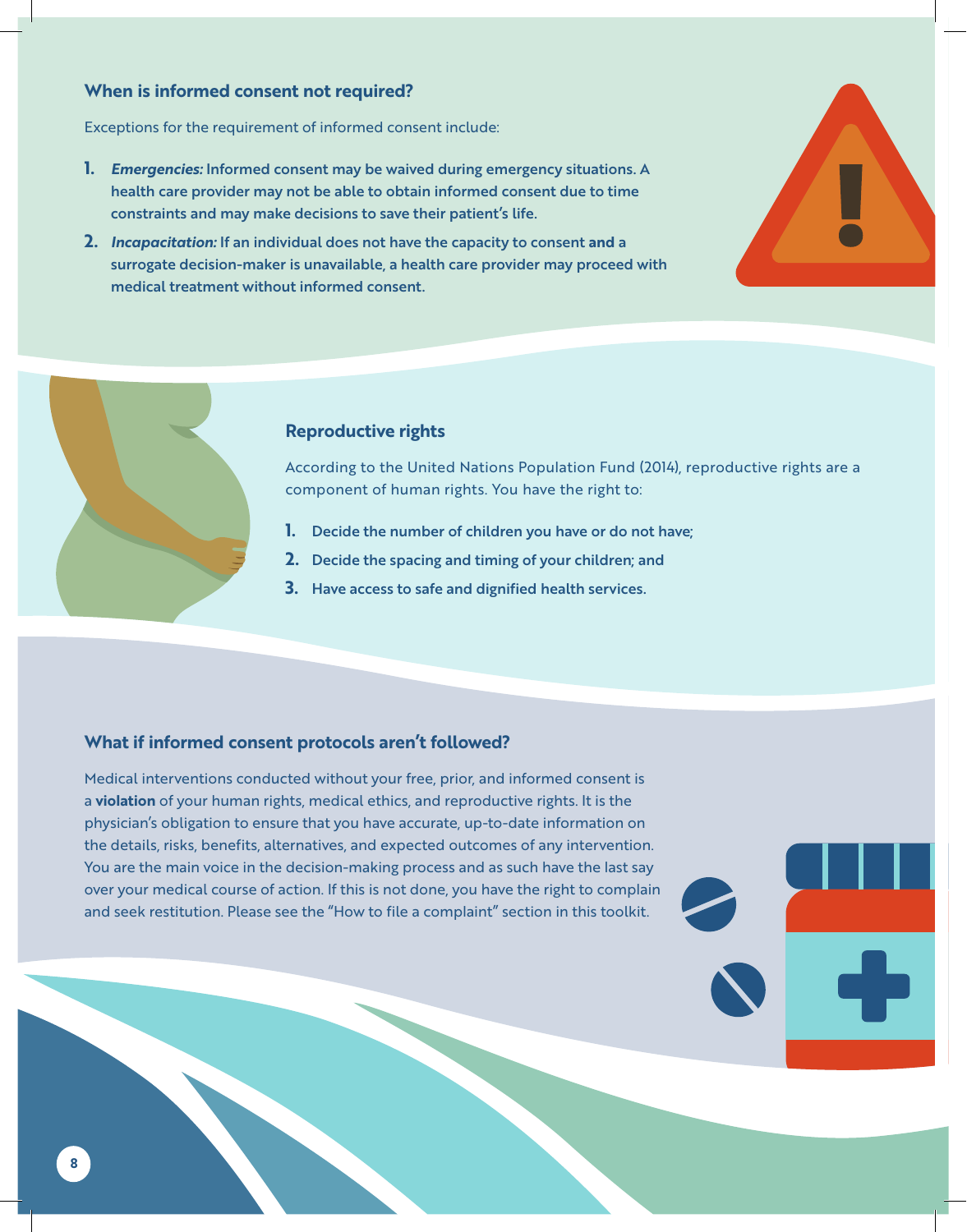### **When is informed consent not required?**

Exceptions for the requirement of informed consent include:

- **1.** *Emergencies:* Informed consent may be waived during emergency situations. A health care provider may not be able to obtain informed consent due to time constraints and may make decisions to save their patient's life.
- **2.** *Incapacitation:* If an individual does not have the capacity to consent **and** a surrogate decision-maker is unavailable, a health care provider may proceed with medical treatment without informed consent.





#### **Reproductive rights**

According to the United Nations Population Fund (2014), reproductive rights are a component of human rights. You have the right to:

- **1.** Decide the number of children you have or do not have;
- **2.** Decide the spacing and timing of your children; and
- **3.** Have access to safe and dignified health services.

#### **What if informed consent protocols aren't followed?**

Medical interventions conducted without your free, prior, and informed consent is a **violation** of your human rights, medical ethics, and reproductive rights. It is the physician's obligation to ensure that you have accurate, up-to-date information on the details, risks, benefits, alternatives, and expected outcomes of any intervention. You are the main voice in the decision-making process and as such have the last say over your medical course of action. If this is not done, you have the right to complain and seek restitution. Please see the "How to file a complaint" section in this toolkit.

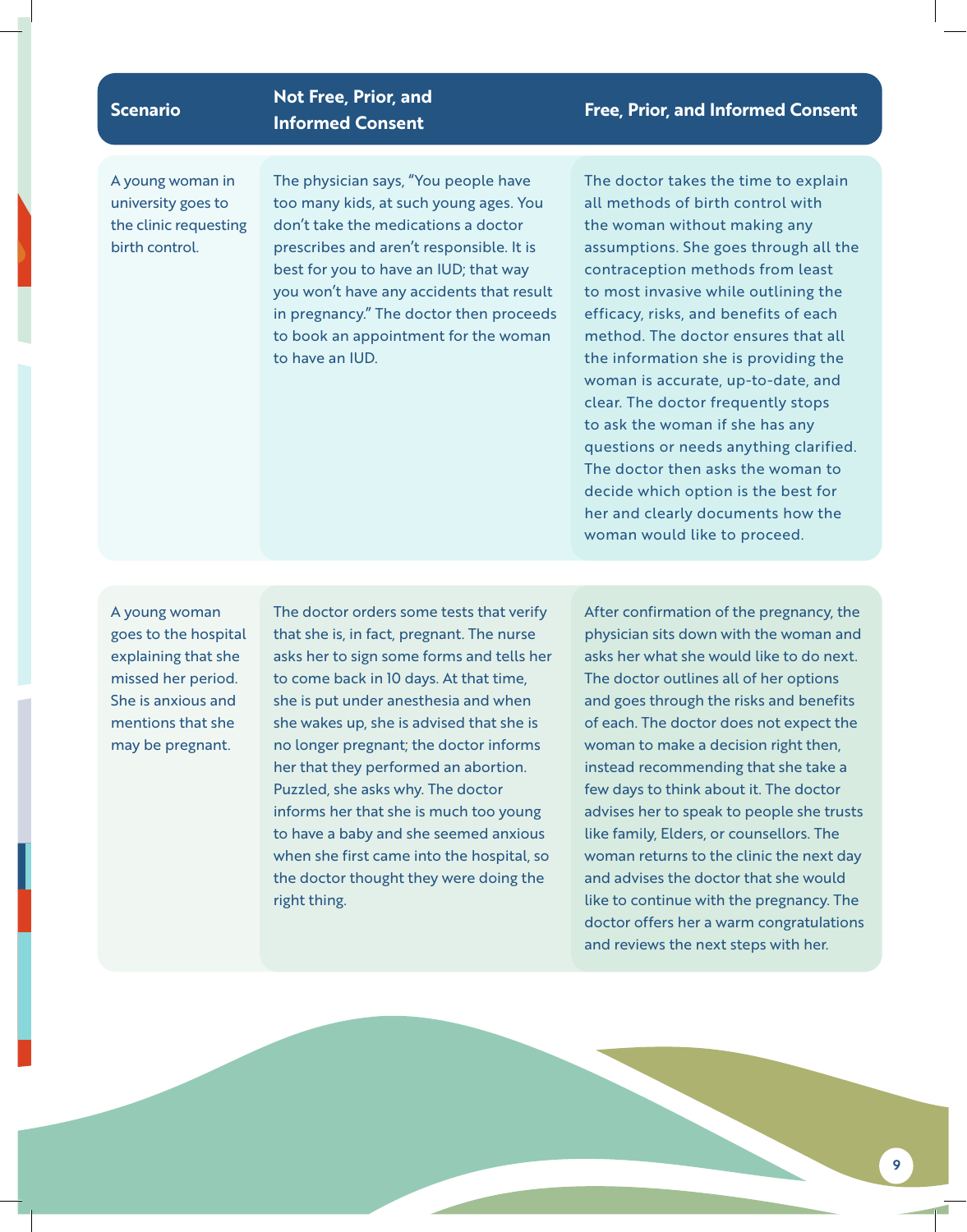## **Scenario Not Free, Prior, and**

A young woman in university goes to the clinic requesting birth control.

The physician says, "You people have too many kids, at such young ages. You don't take the medications a doctor prescribes and aren't responsible. It is best for you to have an IUD; that way you won't have any accidents that result in pregnancy." The doctor then proceeds to book an appointment for the woman to have an IUD.

### **Informed Consent Free, Prior, and Informed Consent**

The doctor takes the time to explain all methods of birth control with the woman without making any assumptions. She goes through all the contraception methods from least to most invasive while outlining the efficacy, risks, and benefits of each method. The doctor ensures that all the information she is providing the woman is accurate, up-to-date, and clear. The doctor frequently stops to ask the woman if she has any questions or needs anything clarified. The doctor then asks the woman to decide which option is the best for her and clearly documents how the woman would like to proceed.

A young woman goes to the hospital explaining that she missed her period. She is anxious and mentions that she may be pregnant.

The doctor orders some tests that verify that she is, in fact, pregnant. The nurse asks her to sign some forms and tells her to come back in 10 days. At that time, she is put under anesthesia and when she wakes up, she is advised that she is no longer pregnant; the doctor informs her that they performed an abortion. Puzzled, she asks why. The doctor informs her that she is much too young to have a baby and she seemed anxious when she first came into the hospital, so the doctor thought they were doing the right thing.

After confirmation of the pregnancy, the physician sits down with the woman and asks her what she would like to do next. The doctor outlines all of her options and goes through the risks and benefits of each. The doctor does not expect the woman to make a decision right then, instead recommending that she take a few days to think about it. The doctor advises her to speak to people she trusts like family, Elders, or counsellors. The woman returns to the clinic the next day and advises the doctor that she would like to continue with the pregnancy. The doctor offers her a warm congratulations and reviews the next steps with her.

**9**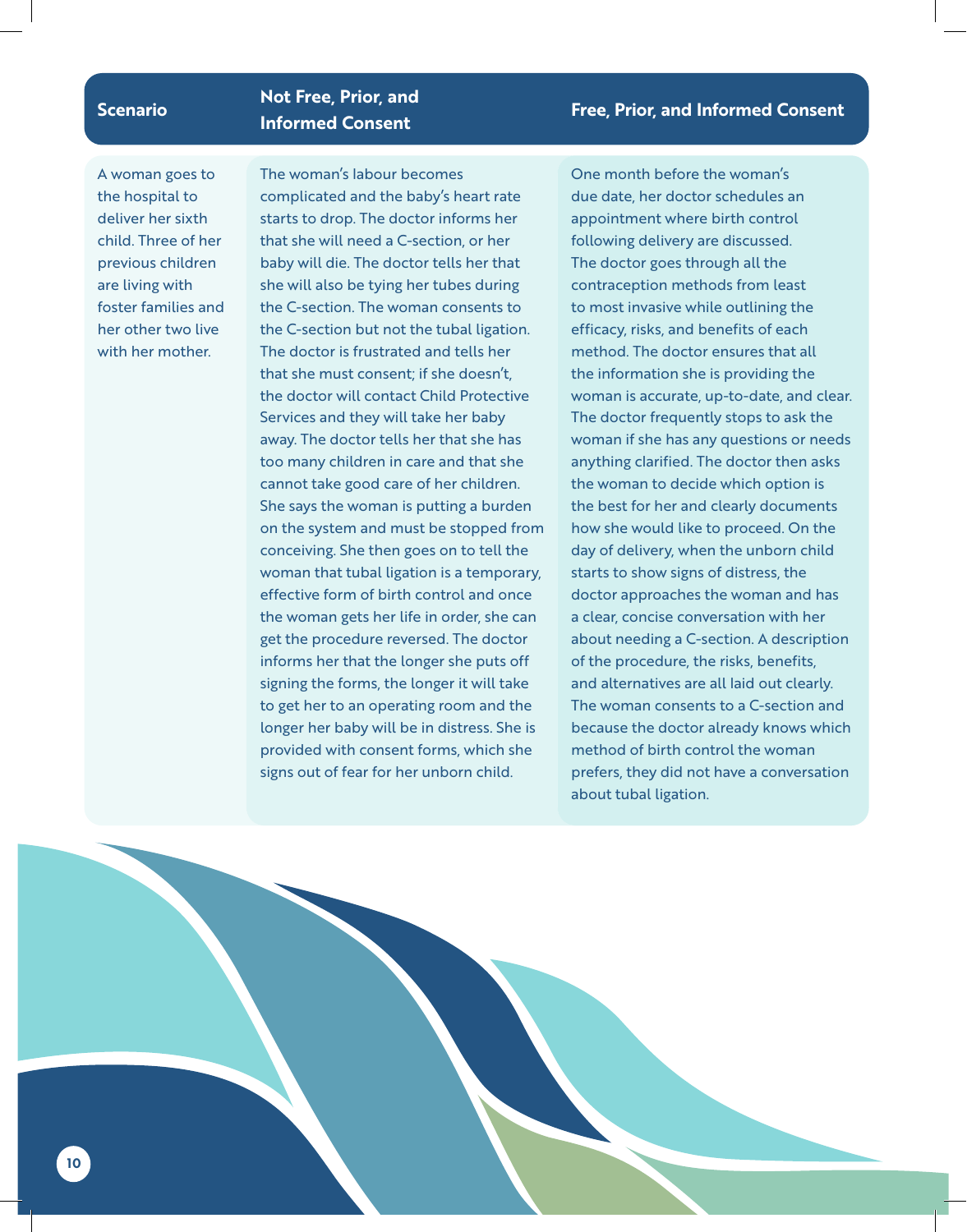## **Scenario Not Free, Prior, and**

A woman goes to the hospital to deliver her sixth child. Three of her previous children are living with foster families and her other two live with her mother.

**10**

The woman's labour becomes complicated and the baby's heart rate starts to drop. The doctor informs her that she will need a C-section, or her baby will die. The doctor tells her that she will also be tying her tubes during the C-section. The woman consents to the C-section but not the tubal ligation. The doctor is frustrated and tells her that she must consent; if she doesn't, the doctor will contact Child Protective Services and they will take her baby away. The doctor tells her that she has too many children in care and that she cannot take good care of her children. She says the woman is putting a burden on the system and must be stopped from conceiving. She then goes on to tell the woman that tubal ligation is a temporary, effective form of birth control and once the woman gets her life in order, she can get the procedure reversed. The doctor informs her that the longer she puts off signing the forms, the longer it will take to get her to an operating room and the longer her baby will be in distress. She is provided with consent forms, which she signs out of fear for her unborn child.

One month before the woman's due date, her doctor schedules an appointment where birth control following delivery are discussed. The doctor goes through all the contraception methods from least to most invasive while outlining the efficacy, risks, and benefits of each method. The doctor ensures that all the information she is providing the woman is accurate, up-to-date, and clear. The doctor frequently stops to ask the woman if she has any questions or needs anything clarified. The doctor then asks the woman to decide which option is the best for her and clearly documents how she would like to proceed. On the day of delivery, when the unborn child starts to show signs of distress, the doctor approaches the woman and has a clear, concise conversation with her about needing a C-section. A description of the procedure, the risks, benefits, and alternatives are all laid out clearly. The woman consents to a C-section and because the doctor already knows which method of birth control the woman prefers, they did not have a conversation about tubal ligation.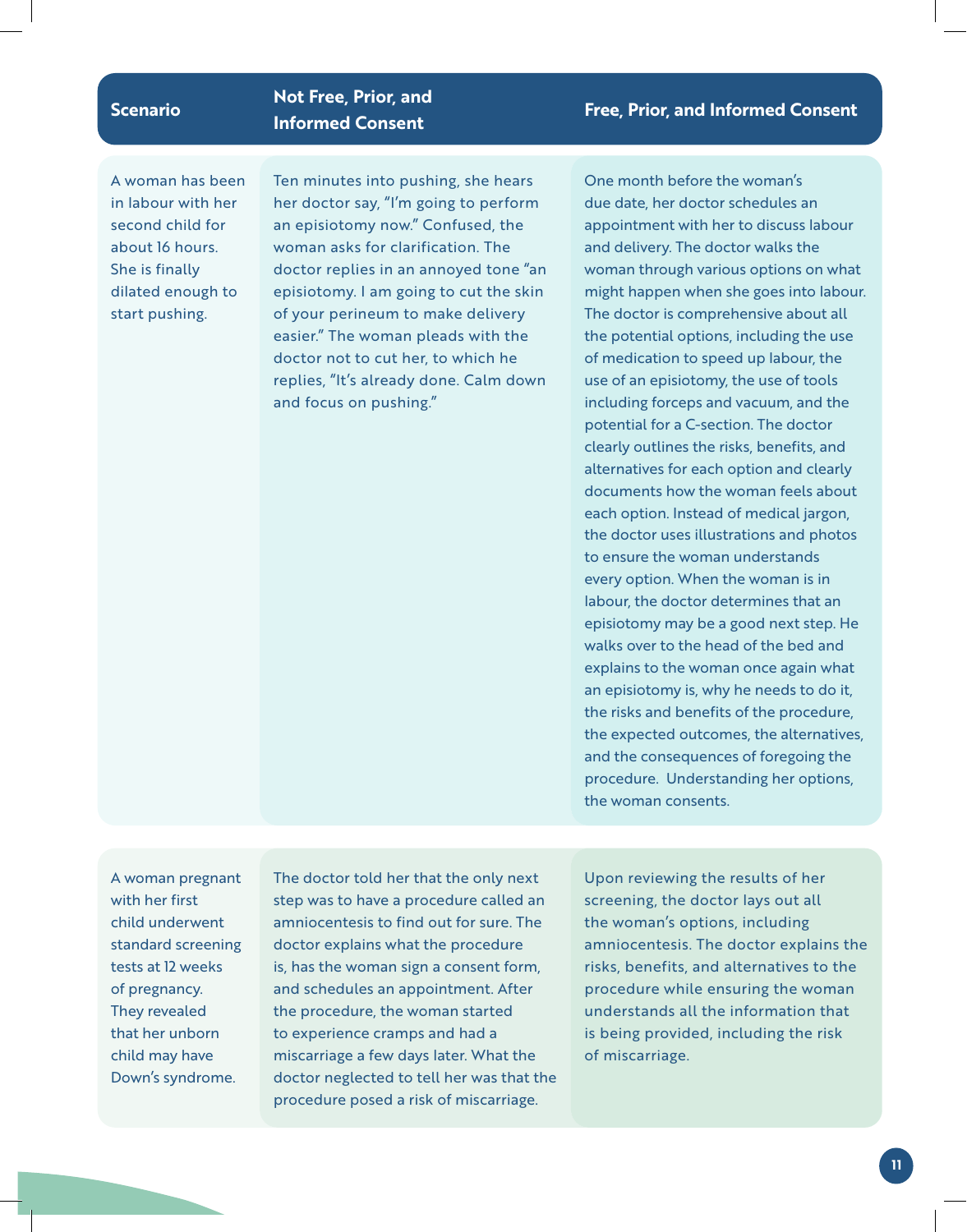### **Scenario Not Free, Prior, and**

A woman has been in labour with her second child for about 16 hours. She is finally dilated enough to start pushing.

Ten minutes into pushing, she hears her doctor say, "I'm going to perform an episiotomy now." Confused, the woman asks for clarification. The doctor replies in an annoyed tone "an episiotomy. I am going to cut the skin of your perineum to make delivery easier." The woman pleads with the doctor not to cut her, to which he replies, "It's already done. Calm down and focus on pushing."

### **Informed Consent Free, Prior, and Informed Consent**

One month before the woman's due date, her doctor schedules an appointment with her to discuss labour and delivery. The doctor walks the woman through various options on what might happen when she goes into labour. The doctor is comprehensive about all the potential options, including the use of medication to speed up labour, the use of an episiotomy, the use of tools including forceps and vacuum, and the potential for a C-section. The doctor clearly outlines the risks, benefits, and alternatives for each option and clearly documents how the woman feels about each option. Instead of medical jargon, the doctor uses illustrations and photos to ensure the woman understands every option. When the woman is in labour, the doctor determines that an episiotomy may be a good next step. He walks over to the head of the bed and explains to the woman once again what an episiotomy is, why he needs to do it, the risks and benefits of the procedure, the expected outcomes, the alternatives, and the consequences of foregoing the procedure. Understanding her options, the woman consents.

A woman pregnant with her first child underwent standard screening tests at 12 weeks of pregnancy. They revealed that her unborn child may have Down's syndrome.

The doctor told her that the only next step was to have a procedure called an amniocentesis to find out for sure. The doctor explains what the procedure is, has the woman sign a consent form, and schedules an appointment. After the procedure, the woman started to experience cramps and had a miscarriage a few days later. What the doctor neglected to tell her was that the procedure posed a risk of miscarriage.

Upon reviewing the results of her screening, the doctor lays out all the woman's options, including amniocentesis. The doctor explains the risks, benefits, and alternatives to the procedure while ensuring the woman understands all the information that is being provided, including the risk of miscarriage.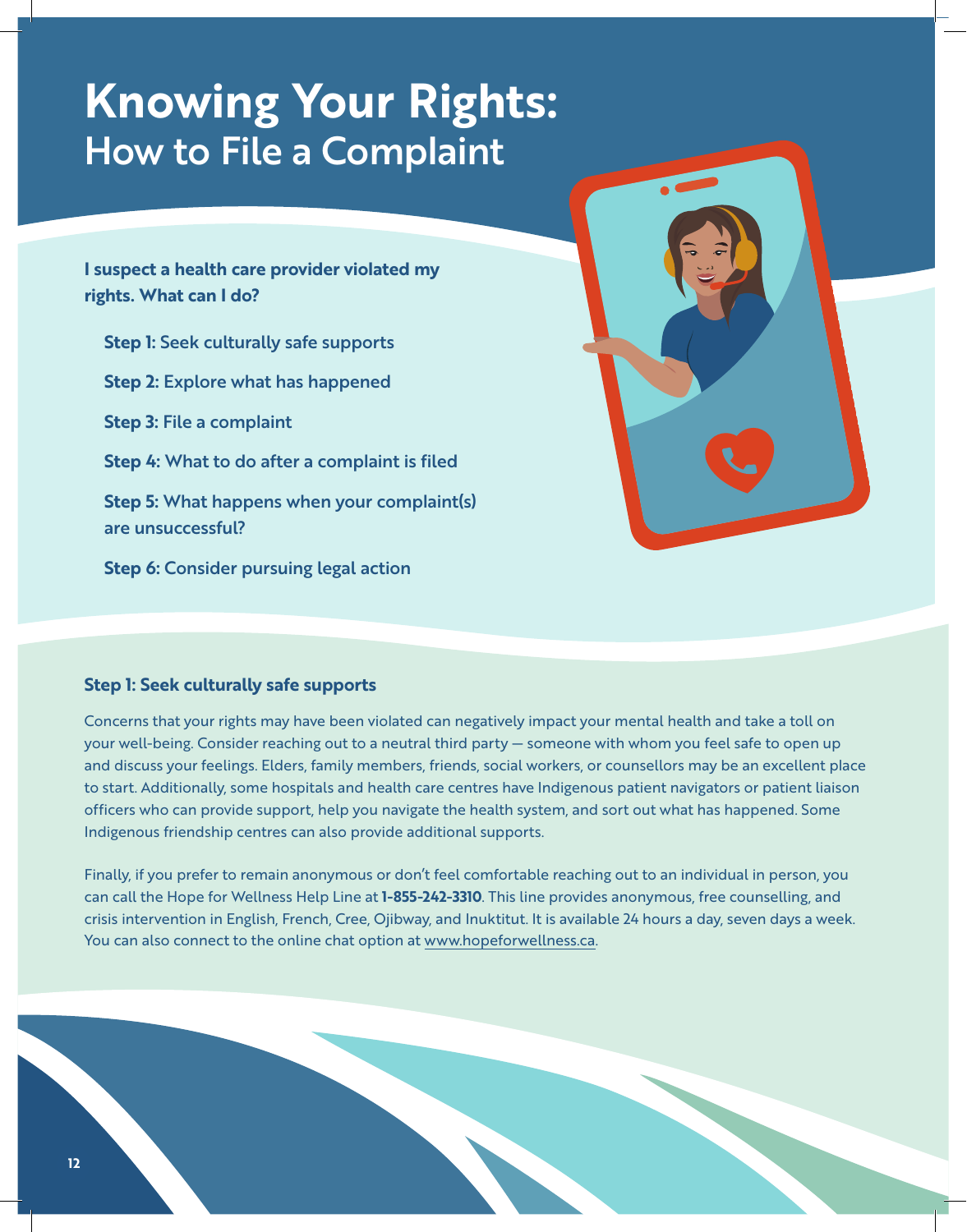# **Knowing Your Rights:** How to File a Complaint

**I suspect a health care provider violated my rights. What can I do?**

**Step 1:** Seek culturally safe supports **Step 2:** Explore what has happened **Step 3:** File a complaint **Step 4:** What to do after a complaint is filed **Step 5:** What happens when your complaint(s) are unsuccessful? **Step 6:** Consider pursuing legal action



### **Step 1: Seek culturally safe supports**

Concerns that your rights may have been violated can negatively impact your mental health and take a toll on your well-being. Consider reaching out to a neutral third party — someone with whom you feel safe to open up and discuss your feelings. Elders, family members, friends, social workers, or counsellors may be an excellent place to start. Additionally, some hospitals and health care centres have Indigenous patient navigators or patient liaison officers who can provide support, help you navigate the health system, and sort out what has happened. Some Indigenous friendship centres can also provide additional supports.

Finally, if you prefer to remain anonymous or don't feel comfortable reaching out to an individual in person, you can call the Hope for Wellness Help Line at **1-855-242-3310**. This line provides anonymous, free counselling, and crisis intervention in English, French, Cree, Ojibway, and Inuktitut. It is available 24 hours a day, seven days a week. You can also connect to the online chat option at www.hopeforwellness.ca.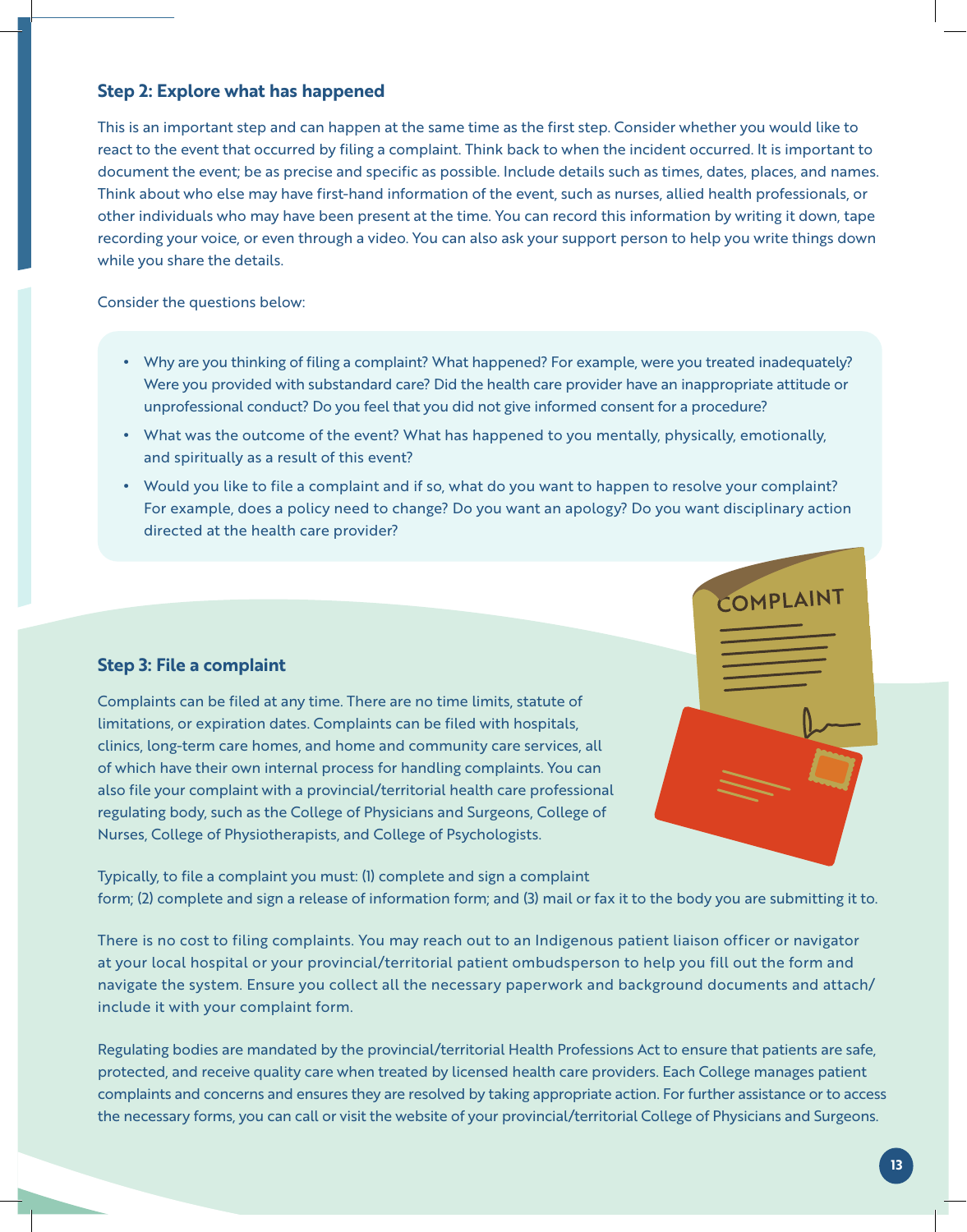### **Step 2: Explore what has happened**

This is an important step and can happen at the same time as the first step. Consider whether you would like to react to the event that occurred by filing a complaint. Think back to when the incident occurred. It is important to document the event; be as precise and specific as possible. Include details such as times, dates, places, and names. Think about who else may have first-hand information of the event, such as nurses, allied health professionals, or other individuals who may have been present at the time. You can record this information by writing it down, tape recording your voice, or even through a video. You can also ask your support person to help you write things down while you share the details.

Consider the questions below:

- Why are you thinking of filing a complaint? What happened? For example, were you treated inadequately? Were you provided with substandard care? Did the health care provider have an inappropriate attitude or unprofessional conduct? Do you feel that you did not give informed consent for a procedure?
- What was the outcome of the event? What has happened to you mentally, physically, emotionally, and spiritually as a result of this event?
- Would you like to file a complaint and if so, what do you want to happen to resolve your complaint? For example, does a policy need to change? Do you want an apology? Do you want disciplinary action directed at the health care provider?

### **Step 3: File a complaint**

Complaints can be filed at any time. There are no time limits, statute of limitations, or expiration dates. Complaints can be filed with hospitals, clinics, long-term care homes, and home and community care services, all of which have their own internal process for handling complaints. You can also file your complaint with a provincial/territorial health care professional regulating body, such as the College of Physicians and Surgeons, College of Nurses, College of Physiotherapists, and College of Psychologists.

Typically, to file a complaint you must: (1) complete and sign a complaint form; (2) complete and sign a release of information form; and (3) mail or fax it to the body you are submitting it to.

There is no cost to filing complaints. You may reach out to an Indigenous patient liaison officer or navigator at your local hospital or your provincial/territorial patient ombudsperson to help you fill out the form and navigate the system. Ensure you collect all the necessary paperwork and background documents and attach/ include it with your complaint form.

Regulating bodies are mandated by the provincial/territorial Health Professions Act to ensure that patients are safe, protected, and receive quality care when treated by licensed health care providers. Each College manages patient complaints and concerns and ensures they are resolved by taking appropriate action. For further assistance or to access the necessary forms, you can call or visit the website of your provincial/territorial College of Physicians and Surgeons.

COMPLAINT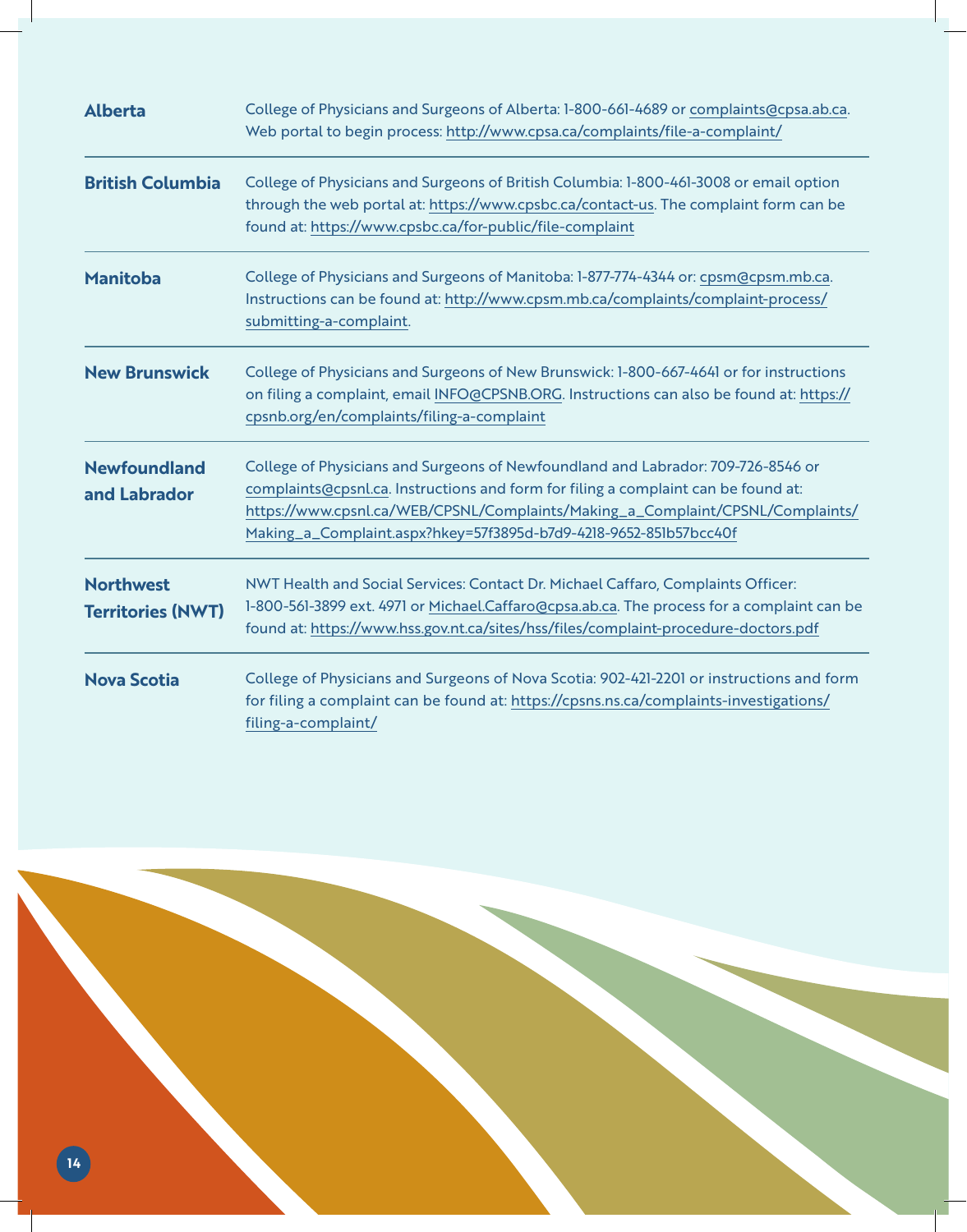| <b>Alberta</b>                               | College of Physicians and Surgeons of Alberta: 1-800-661-4689 or complaints@cpsa.ab.ca.<br>Web portal to begin process: http://www.cpsa.ca/complaints/file-a-complaint/                                                                                                                                                       |
|----------------------------------------------|-------------------------------------------------------------------------------------------------------------------------------------------------------------------------------------------------------------------------------------------------------------------------------------------------------------------------------|
| <b>British Columbia</b>                      | College of Physicians and Surgeons of British Columbia: 1-800-461-3008 or email option<br>through the web portal at: https://www.cpsbc.ca/contact-us. The complaint form can be<br>found at: https://www.cpsbc.ca/for-public/file-complaint                                                                                   |
| <b>Manitoba</b>                              | College of Physicians and Surgeons of Manitoba: 1-877-774-4344 or: cpsm@cpsm.mb.ca.<br>Instructions can be found at: http://www.cpsm.mb.ca/complaints/complaint-process/<br>submitting-a-complaint.                                                                                                                           |
| <b>New Brunswick</b>                         | College of Physicians and Surgeons of New Brunswick: 1-800-667-4641 or for instructions<br>on filing a complaint, email INFO@CPSNB.ORG. Instructions can also be found at: https://<br>cpsnb.org/en/complaints/filing-a-complaint                                                                                             |
| <b>Newfoundland</b><br>and Labrador          | College of Physicians and Surgeons of Newfoundland and Labrador: 709-726-8546 or<br>complaints@cpsnl.ca. Instructions and form for filing a complaint can be found at:<br>https://www.cpsnl.ca/WEB/CPSNL/Complaints/Making_a_Complaint/CPSNL/Complaints/<br>Making_a_Complaint.aspx?hkey=57f3895d-b7d9-4218-9652-851b57bcc40f |
| <b>Northwest</b><br><b>Territories (NWT)</b> | NWT Health and Social Services: Contact Dr. Michael Caffaro, Complaints Officer:<br>1-800-561-3899 ext. 4971 or Michael.Caffaro@cpsa.ab.ca. The process for a complaint can be<br>found at: https://www.hss.gov.nt.ca/sites/hss/files/complaint-procedure-doctors.pdf                                                         |
| <b>Nova Scotia</b>                           | College of Physicians and Surgeons of Nova Scotia: 902-421-2201 or instructions and form<br>for filing a complaint can be found at: https://cpsns.ns.ca/complaints-investigations/<br>filing-a-complaint/                                                                                                                     |

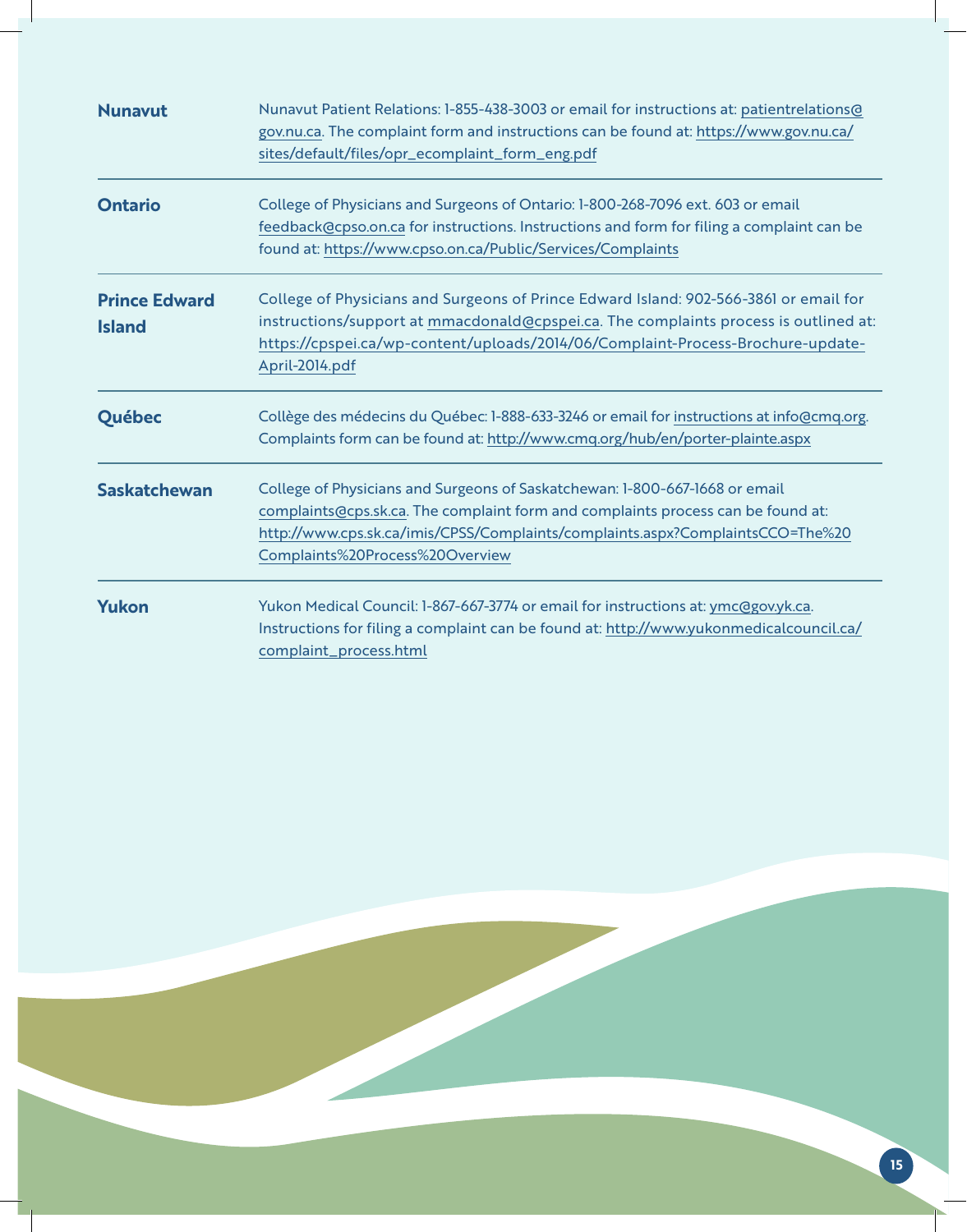| <b>Nunavut</b>                        | Nunavut Patient Relations: 1-855-438-3003 or email for instructions at: patientrelations@<br>gov.nu.ca. The complaint form and instructions can be found at: https://www.gov.nu.ca/<br>sites/default/files/opr_ecomplaint_form_eng.pdf                                               |
|---------------------------------------|--------------------------------------------------------------------------------------------------------------------------------------------------------------------------------------------------------------------------------------------------------------------------------------|
| <b>Ontario</b>                        | College of Physicians and Surgeons of Ontario: 1-800-268-7096 ext. 603 or email<br>feedback@cpso.on.ca for instructions. Instructions and form for filing a complaint can be<br>found at: https://www.cpso.on.ca/Public/Services/Complaints                                          |
| <b>Prince Edward</b><br><b>Island</b> | College of Physicians and Surgeons of Prince Edward Island: 902-566-3861 or email for<br>instructions/support at mmacdonald@cpspei.ca. The complaints process is outlined at:<br>https://cpspei.ca/wp-content/uploads/2014/06/Complaint-Process-Brochure-update-<br>April-2014.pdf   |
| Québec                                | Collège des médecins du Québec: 1-888-633-3246 or email for instructions at info@cmq.org.<br>Complaints form can be found at: http://www.cmq.org/hub/en/porter-plainte.aspx                                                                                                          |
| <b>Saskatchewan</b>                   | College of Physicians and Surgeons of Saskatchewan: 1-800-667-1668 or email<br>complaints@cps.sk.ca. The complaint form and complaints process can be found at:<br>http://www.cps.sk.ca/imis/CPSS/Complaints/complaints.aspx?ComplaintsCCO=The%20<br>Complaints%20Process%20Overview |
| <b>Yukon</b>                          | Yukon Medical Council: 1-867-667-3774 or email for instructions at: ymc@gov.yk.ca.<br>Instructions for filing a complaint can be found at: http://www.yukonmedicalcouncil.ca/<br>complaint_process.html                                                                              |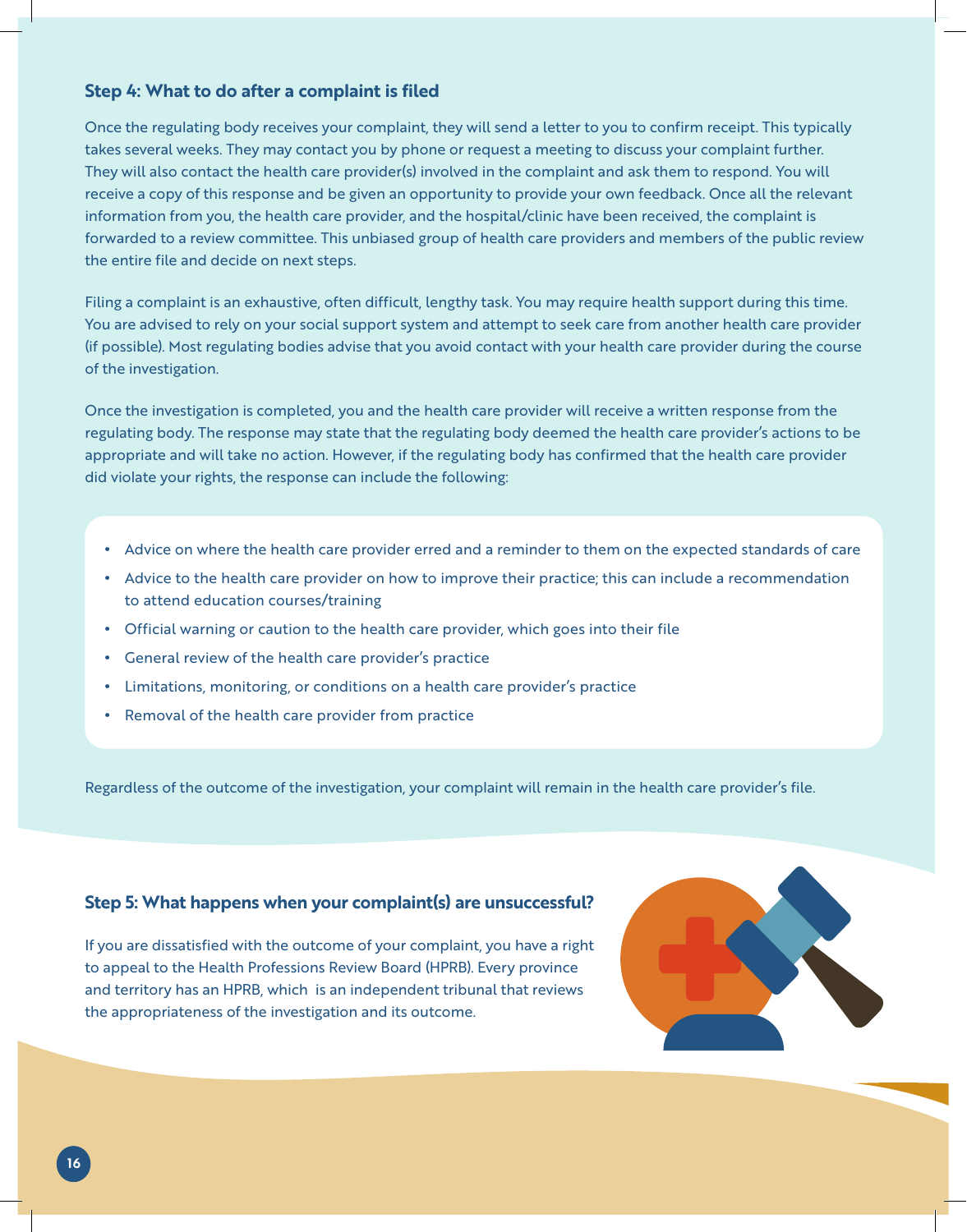### **Step 4: What to do after a complaint is filed**

Once the regulating body receives your complaint, they will send a letter to you to confirm receipt. This typically takes several weeks. They may contact you by phone or request a meeting to discuss your complaint further. They will also contact the health care provider(s) involved in the complaint and ask them to respond. You will receive a copy of this response and be given an opportunity to provide your own feedback. Once all the relevant information from you, the health care provider, and the hospital/clinic have been received, the complaint is forwarded to a review committee. This unbiased group of health care providers and members of the public review the entire file and decide on next steps.

Filing a complaint is an exhaustive, often difficult, lengthy task. You may require health support during this time. You are advised to rely on your social support system and attempt to seek care from another health care provider (if possible). Most regulating bodies advise that you avoid contact with your health care provider during the course of the investigation.

Once the investigation is completed, you and the health care provider will receive a written response from the regulating body. The response may state that the regulating body deemed the health care provider's actions to be appropriate and will take no action. However, if the regulating body has confirmed that the health care provider did violate your rights, the response can include the following:

- Advice on where the health care provider erred and a reminder to them on the expected standards of care
- Advice to the health care provider on how to improve their practice; this can include a recommendation to attend education courses/training
- Official warning or caution to the health care provider, which goes into their file
- General review of the health care provider's practice
- Limitations, monitoring, or conditions on a health care provider's practice
- Removal of the health care provider from practice

Regardless of the outcome of the investigation, your complaint will remain in the health care provider's file.

#### **Step 5: What happens when your complaint(s) are unsuccessful?**

If you are dissatisfied with the outcome of your complaint, you have a right to appeal to the Health Professions Review Board (HPRB). Every province and territory has an HPRB, which is an independent tribunal that reviews the appropriateness of the investigation and its outcome.

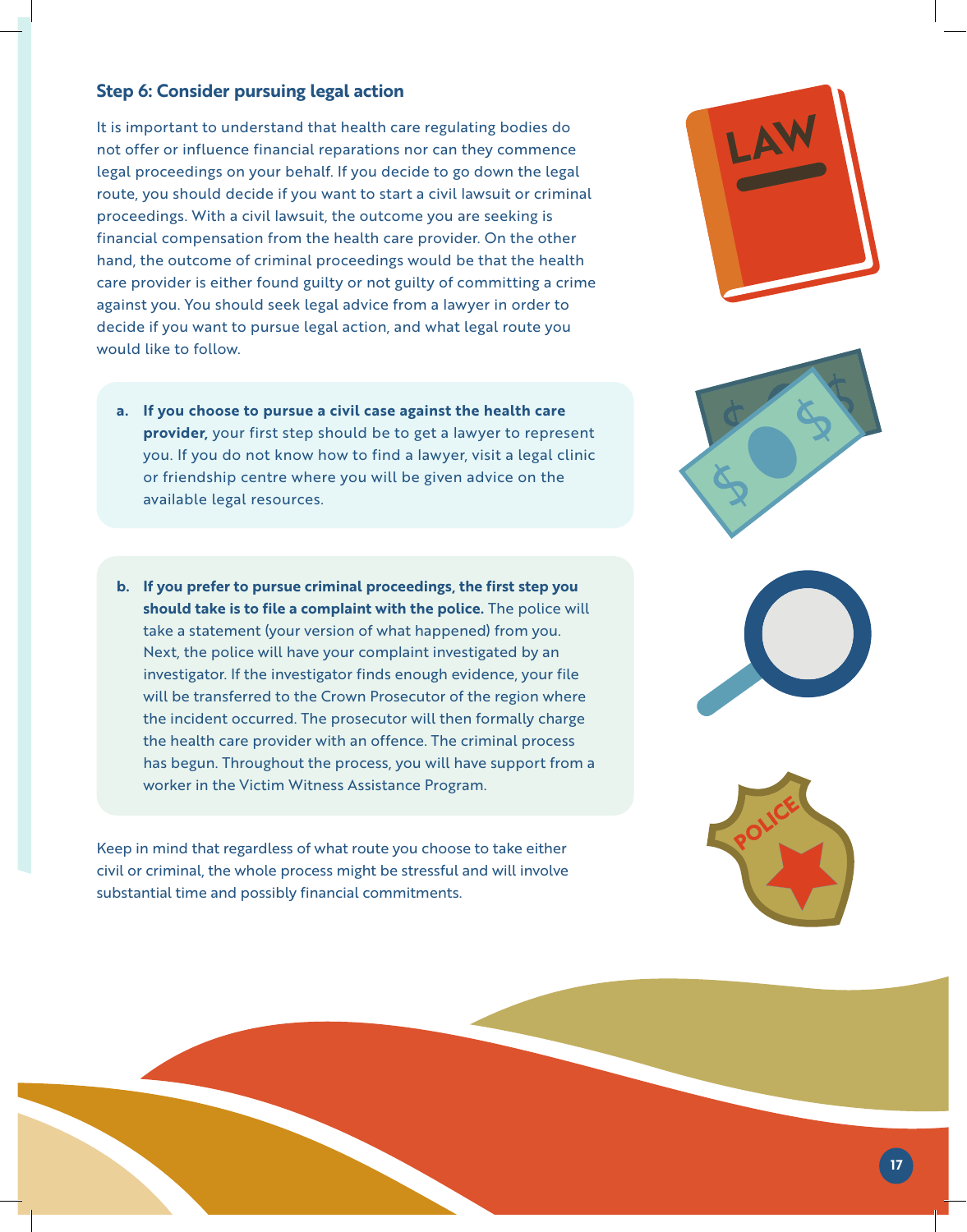### **Step 6: Consider pursuing legal action**

It is important to understand that health care regulating bodies do not offer or influence financial reparations nor can they commence legal proceedings on your behalf. If you decide to go down the legal route, you should decide if you want to start a civil lawsuit or criminal proceedings. With a civil lawsuit, the outcome you are seeking is financial compensation from the health care provider. On the other hand, the outcome of criminal proceedings would be that the health care provider is either found guilty or not guilty of committing a crime against you. You should seek legal advice from a lawyer in order to decide if you want to pursue legal action, and what legal route you would like to follow.

- **a. If you choose to pursue a civil case against the health care provider,** your first step should be to get a lawyer to represent you. If you do not know how to find a lawyer, visit a legal clinic or friendship centre where you will be given advice on the available legal resources.
- **b. If you prefer to pursue criminal proceedings, the first step you should take is to file a complaint with the police.** The police will take a statement (your version of what happened) from you. Next, the police will have your complaint investigated by an investigator. If the investigator finds enough evidence, your file will be transferred to the Crown Prosecutor of the region where the incident occurred. The prosecutor will then formally charge the health care provider with an offence. The criminal process has begun. Throughout the process, you will have support from a worker in the Victim Witness Assistance Program.

Keep in mind that regardless of what route you choose to take either civil or criminal, the whole process might be stressful and will involve substantial time and possibly financial commitments.







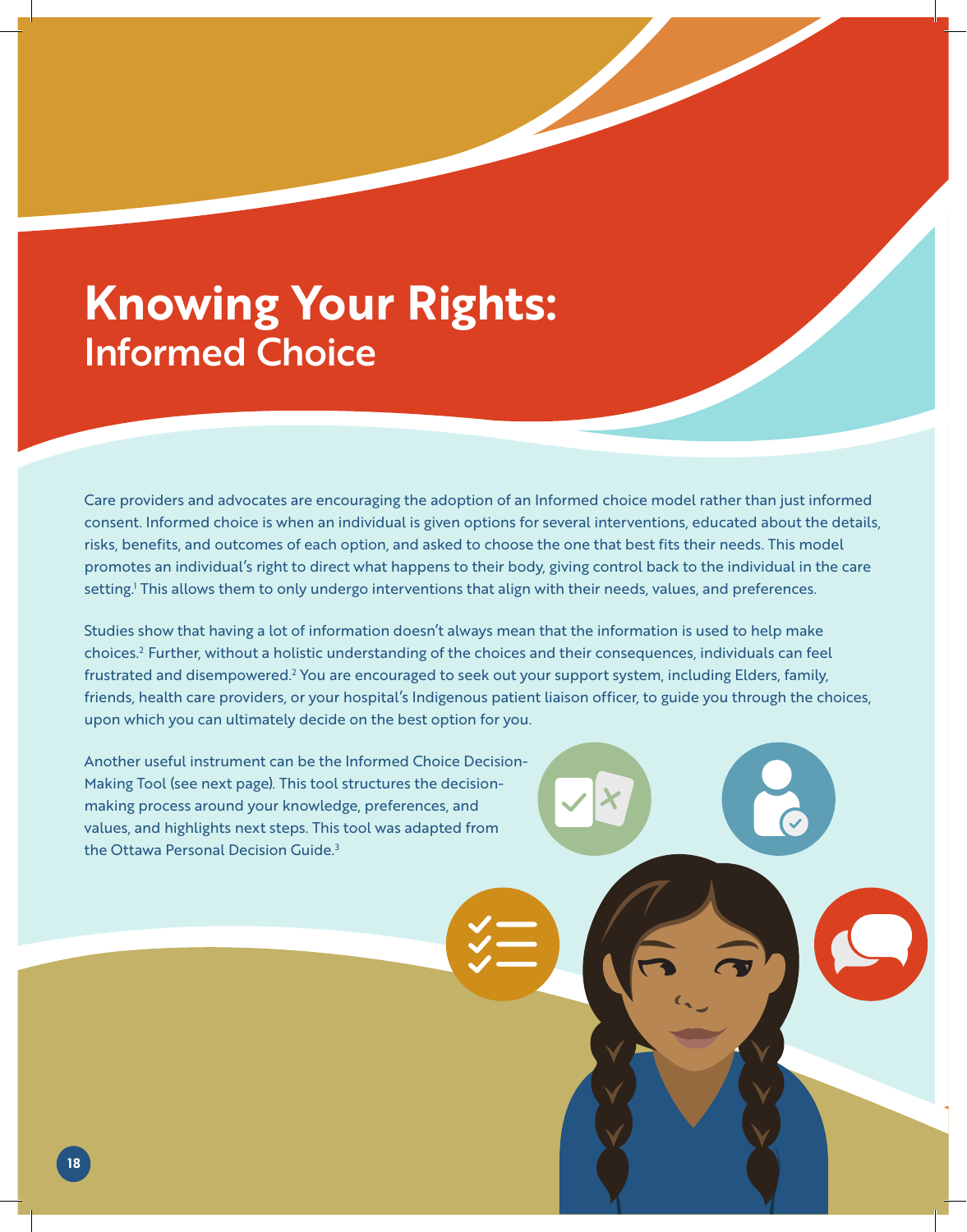# **Knowing Your Rights:**  Informed Choice

Care providers and advocates are encouraging the adoption of an Informed choice model rather than just informed consent. Informed choice is when an individual is given options for several interventions, educated about the details, risks, benefits, and outcomes of each option, and asked to choose the one that best fits their needs. This model promotes an individual's right to direct what happens to their body, giving control back to the individual in the care setting.<sup>1</sup> This allows them to only undergo interventions that align with their needs, values, and preferences.

Studies show that having a lot of information doesn't always mean that the information is used to help make choices.<sup>2</sup> Further, without a holistic understanding of the choices and their consequences, individuals can feel frustrated and disempowered.<sup>2</sup> You are encouraged to seek out your support system, including Elders, family, friends, health care providers, or your hospital's Indigenous patient liaison officer, to guide you through the choices, upon which you can ultimately decide on the best option for you.

Another useful instrument can be the Informed Choice Decision-Making Tool (see next page). This tool structures the decisionmaking process around your knowledge, preferences, and values, and highlights next steps. This tool was adapted from the Ottawa Personal Decision Guide.<sup>3</sup>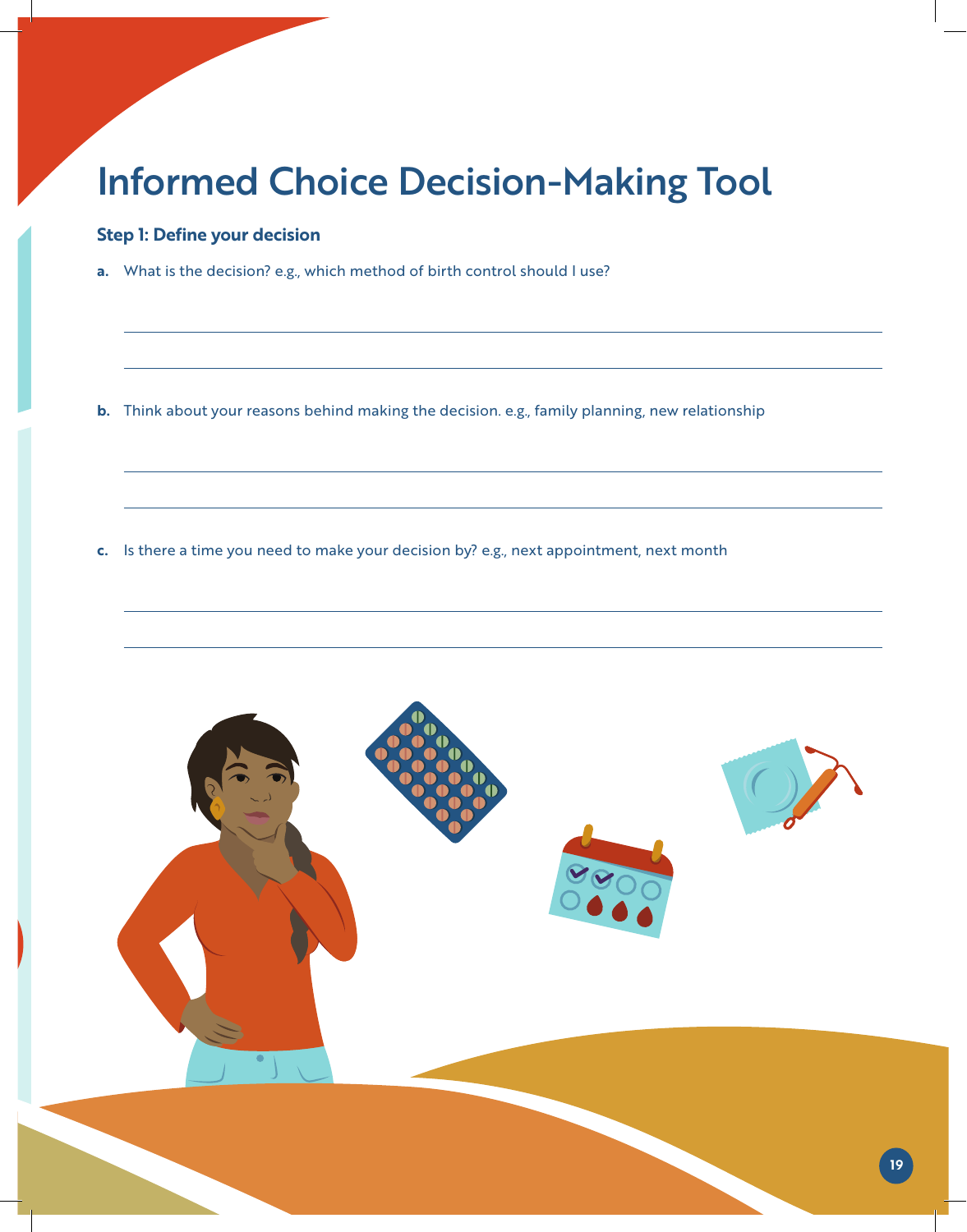### Informed Choice Decision-Making Tool

### **Step 1: Define your decision**

**a.** What is the decision? e.g., which method of birth control should I use?

**b.** Think about your reasons behind making the decision. e.g., family planning, new relationship

**c.** Is there a time you need to make your decision by? e.g., next appointment, next month

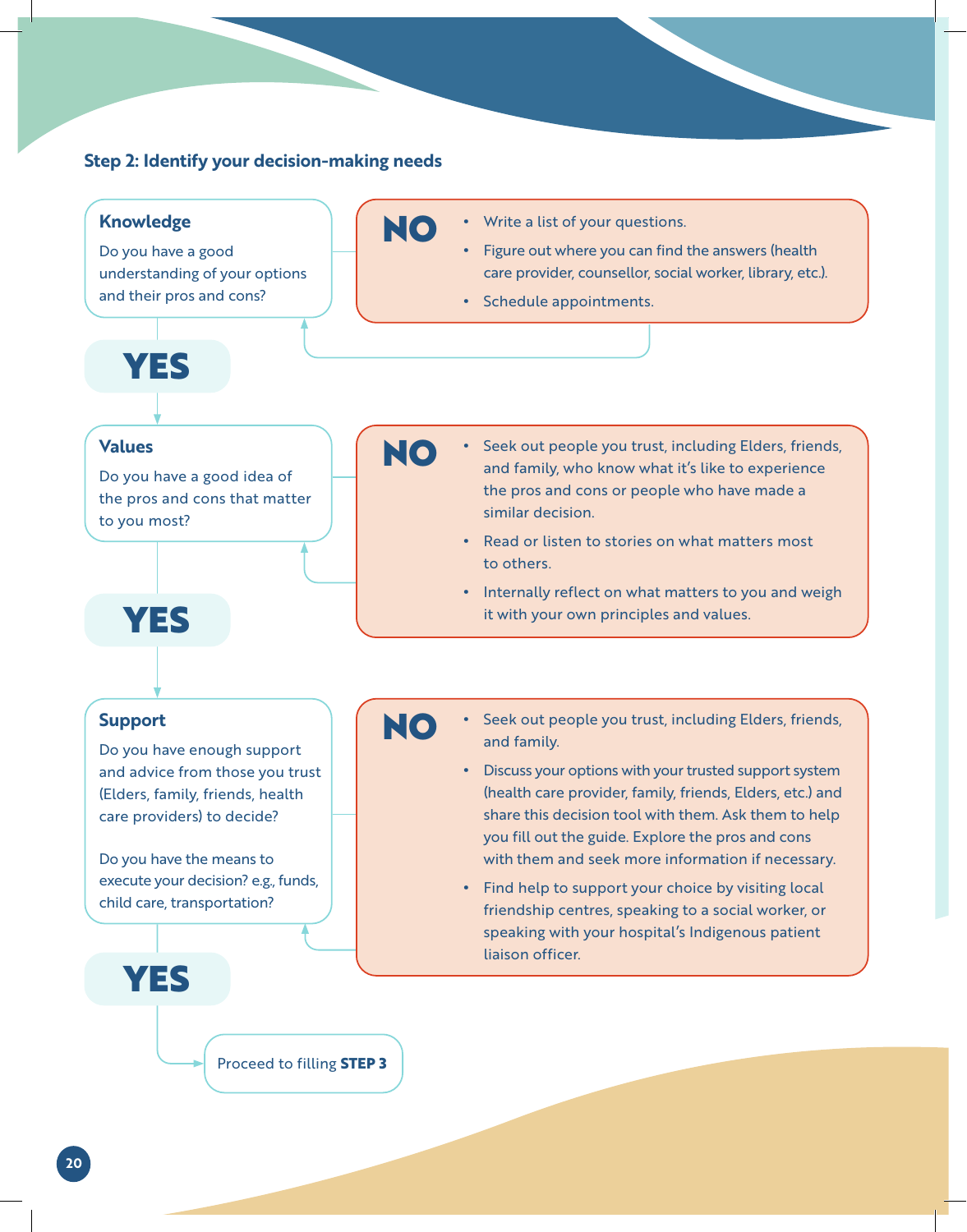#### **Step 2: Identify your decision-making needs**



**20**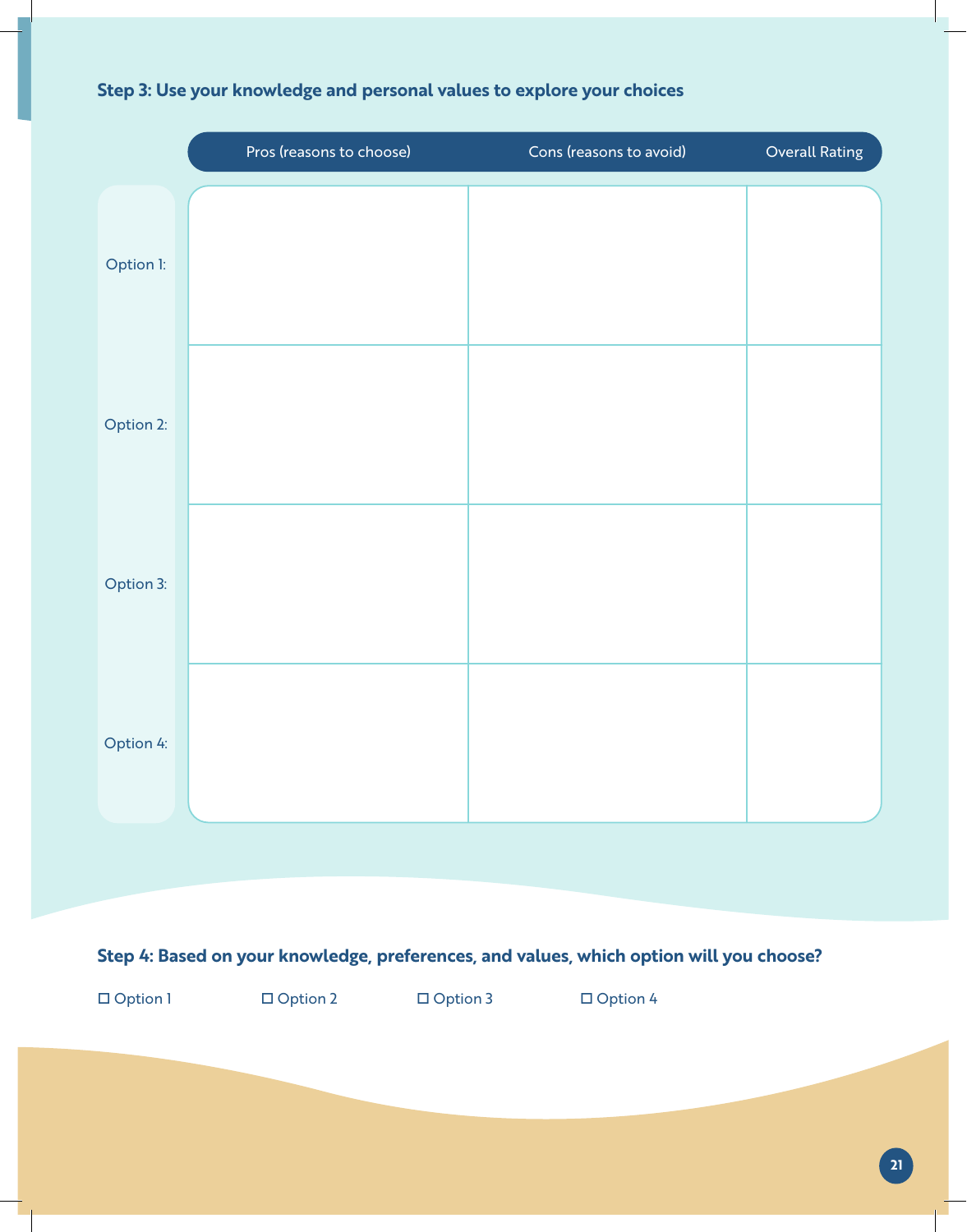|                                                                                         | Pros (reasons to choose) | Cons (reasons to avoid) | Overall Rating |  |
|-----------------------------------------------------------------------------------------|--------------------------|-------------------------|----------------|--|
| Option I:                                                                               |                          |                         |                |  |
| Option 2:                                                                               |                          |                         |                |  |
| Option 3:                                                                               |                          |                         |                |  |
| Option 4:                                                                               |                          |                         |                |  |
|                                                                                         |                          |                         |                |  |
| Step 4: Based on your knowledge, preferences, and values, which option will you choose? |                          |                         |                |  |
| $\Box$ Option 1                                                                         | □ Option 2<br>□ Option 3 | $\Box$ Option 4         |                |  |
|                                                                                         |                          |                         |                |  |

### **Step 3: Use your knowledge and personal values to explore your choices**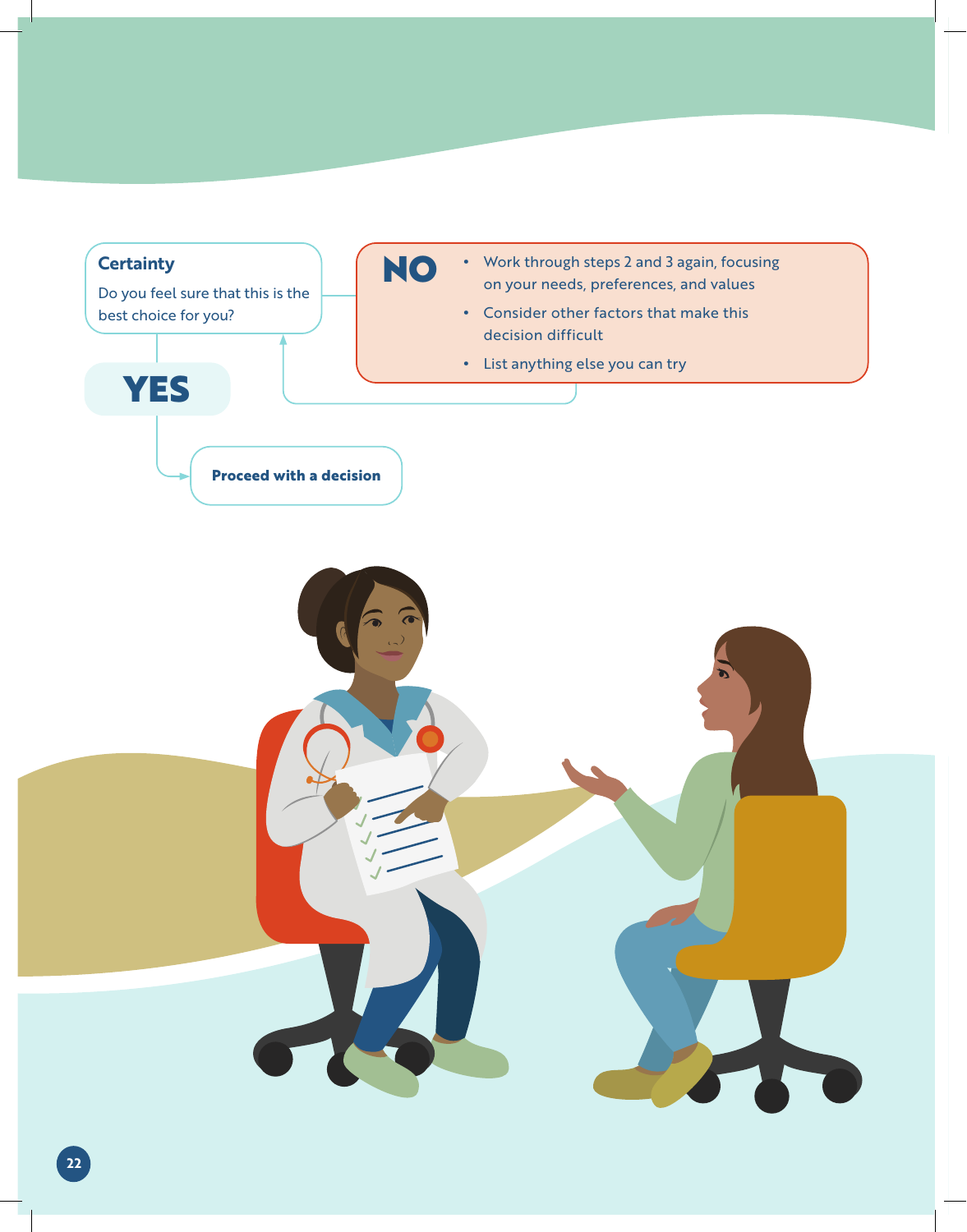

### **22**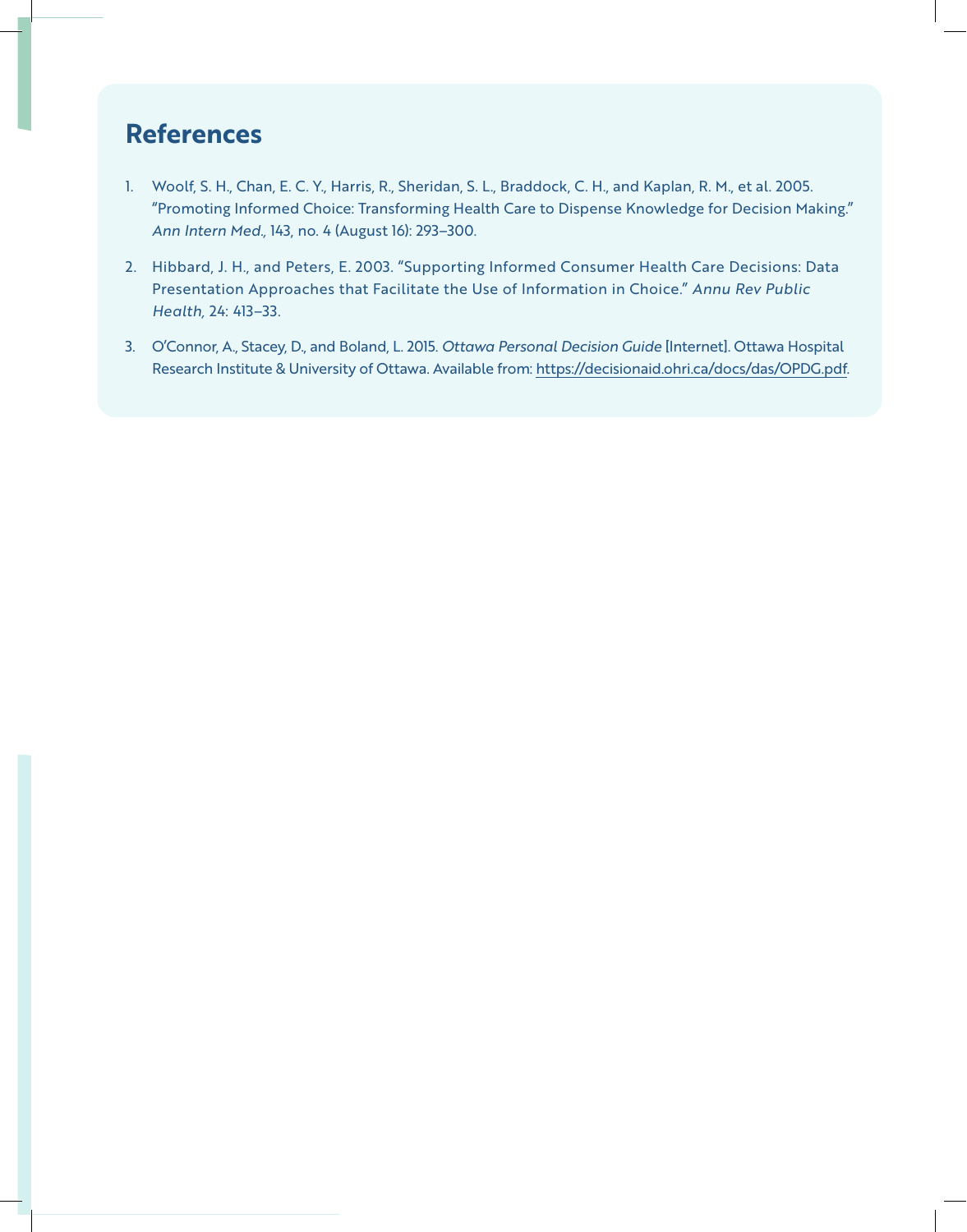### **References**

- 1. Woolf, S. H., Chan, E. C. Y., Harris, R., Sheridan, S. L., Braddock, C. H., and Kaplan, R. M., et al. 2005. "Promoting Informed Choice: Transforming Health Care to Dispense Knowledge for Decision Making." *Ann Intern Med.,* 143, no. 4 (August 16): 293–300.
- 2. Hibbard, J. H., and Peters, E. 2003. "Supporting Informed Consumer Health Care Decisions: Data Presentation Approaches that Facilitate the Use of Information in Choice." *Annu Rev Public Health,* 24: 413–33.
- 3. O'Connor, A., Stacey, D., and Boland, L. 2015. *Ottawa Personal Decision Guide* [Internet]. Ottawa Hospital Research Institute & University of Ottawa. Available from: https://decisionaid.ohri.ca/docs/das/OPDG.pdf.